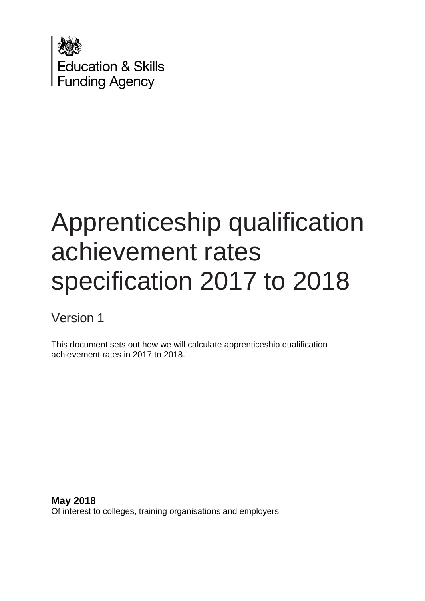

# Apprenticeship qualification achievement rates specification 2017 to 2018

Version 1

This document sets out how we will calculate apprenticeship qualification achievement rates in 2017 to 2018.

**May 2018** Of interest to colleges, training organisations and employers.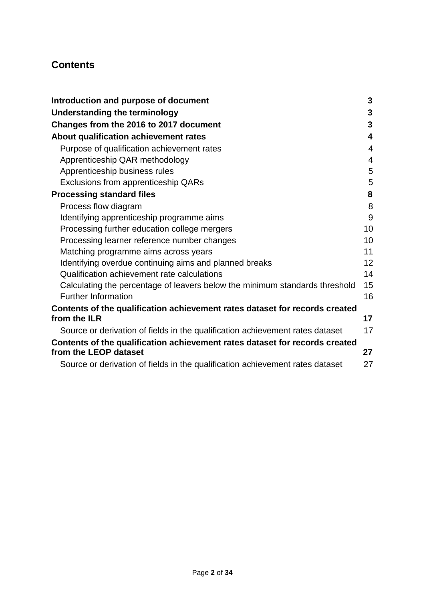# **Contents**

| Introduction and purpose of document                                          | 3               |
|-------------------------------------------------------------------------------|-----------------|
| <b>Understanding the terminology</b>                                          | 3               |
| Changes from the 2016 to 2017 document                                        | 3               |
| About qualification achievement rates                                         | 4               |
| Purpose of qualification achievement rates                                    | 4               |
| Apprenticeship QAR methodology                                                | $\overline{4}$  |
| Apprenticeship business rules                                                 | 5               |
| Exclusions from apprenticeship QARs                                           | 5               |
| <b>Processing standard files</b>                                              | 8               |
| Process flow diagram                                                          | 8               |
| Identifying apprenticeship programme aims                                     | 9               |
| Processing further education college mergers                                  | 10              |
| Processing learner reference number changes                                   | 10              |
| Matching programme aims across years                                          | 11              |
| Identifying overdue continuing aims and planned breaks                        | 12 <sup>2</sup> |
| Qualification achievement rate calculations                                   | 14              |
| Calculating the percentage of leavers below the minimum standards threshold   | 15              |
| <b>Further Information</b>                                                    | 16              |
| Contents of the qualification achievement rates dataset for records created   |                 |
| from the ILR                                                                  | 17              |
| Source or derivation of fields in the qualification achievement rates dataset | 17              |
| Contents of the qualification achievement rates dataset for records created   |                 |
| from the LEOP dataset                                                         | 27              |
| Source or derivation of fields in the qualification achievement rates dataset | 27              |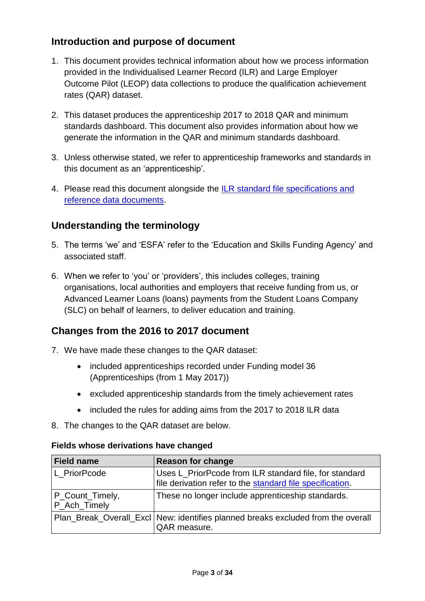# <span id="page-2-0"></span>**Introduction and purpose of document**

- 1. This document provides technical information about how we process information provided in the Individualised Learner Record (ILR) and Large Employer Outcome Pilot (LEOP) data collections to produce the qualification achievement rates (QAR) dataset.
- 2. This dataset produces the apprenticeship 2017 to 2018 QAR and minimum standards dashboard. This document also provides information about how we generate the information in the QAR and minimum standards dashboard.
- 3. Unless otherwise stated, we refer to apprenticeship frameworks and standards in this document as an 'apprenticeship'.
- 4. Please read this document alongside the [ILR standard file specifications and](https://www.gov.uk/government/publications/sfa-ilr-standard-file-specifications-and-reference-data)  [reference data documents.](https://www.gov.uk/government/publications/sfa-ilr-standard-file-specifications-and-reference-data)

# <span id="page-2-1"></span>**Understanding the terminology**

- 5. The terms 'we' and 'ESFA' refer to the 'Education and Skills Funding Agency' and associated staff.
- 6. When we refer to 'you' or 'providers', this includes colleges, training organisations, local authorities and employers that receive funding from us, or Advanced Learner Loans (loans) payments from the Student Loans Company (SLC) on behalf of learners, to deliver education and training.

# <span id="page-2-2"></span>**Changes from the 2016 to 2017 document**

- 7. We have made these changes to the QAR dataset:
	- included apprenticeships recorded under Funding model 36 (Apprenticeships (from 1 May 2017))
	- excluded apprenticeship standards from the timely achievement rates
	- included the rules for adding aims from the 2017 to 2018 ILR data
- 8. The changes to the QAR dataset are below.

| <b>Field name</b>               | <b>Reason for change</b>                                                                                            |
|---------------------------------|---------------------------------------------------------------------------------------------------------------------|
| L PriorPcode                    | Uses L_PriorPcode from ILR standard file, for standard<br>file derivation refer to the standard file specification. |
| P_Count_Timely,<br>P_Ach_Timely | These no longer include apprenticeship standards.                                                                   |
|                                 | Plan_Break_Overall_Excl   New: identifies planned breaks excluded from the overall<br>QAR measure.                  |

## **Fields whose derivations have changed**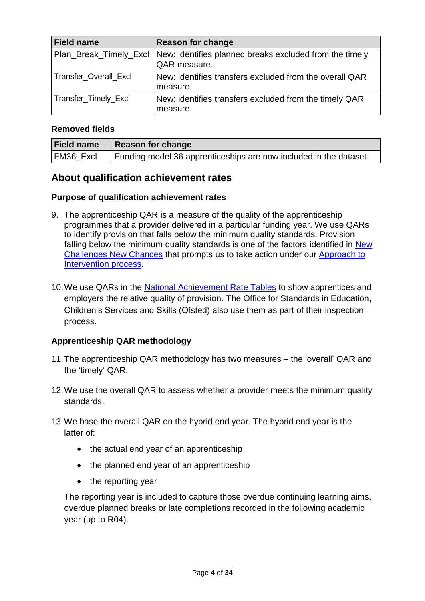| <b>Field name</b>            | <b>Reason for change</b>                                                                         |
|------------------------------|--------------------------------------------------------------------------------------------------|
|                              | Plan_Break_Timely_Excl   New: identifies planned breaks excluded from the timely<br>QAR measure. |
| <b>Transfer Overall Excl</b> | New: identifies transfers excluded from the overall QAR<br>measure.                              |
| Transfer_Timely_Excl         | New: identifies transfers excluded from the timely QAR<br>measure.                               |

#### **Removed fields**

| <b>Field name</b> | Reason for change                                                 |
|-------------------|-------------------------------------------------------------------|
| FM36 Excl         | Funding model 36 apprenticeships are now included in the dataset. |

## <span id="page-3-0"></span>**About qualification achievement rates**

#### <span id="page-3-1"></span>**Purpose of qualification achievement rates**

- 9. The apprenticeship QAR is a measure of the quality of the apprenticeship programmes that a provider delivered in a particular funding year. We use QARs to identify provision that falls below the minimum quality standards. Provision falling below the minimum quality standards is one of the factors identified in New [Challenges New Chances](https://www.gov.uk/government/uploads/system/uploads/attachment_data/file/248709/bis-13-1234-evaluation-of-new-challenges-new-chances-further-education-and-skills-reform-plan.pdf) that prompts us to take action under our [Approach to](https://www.gov.uk/guidance/16-to-19-education-accountability)  [Intervention process.](https://www.gov.uk/guidance/16-to-19-education-accountability)
- 10.We use QARs in the [National Achievement](https://www.gov.uk/government/collections/sfa-national-success-rates-tableshttps:/www.gov.uk/government/collections/sfa-national-success-rates-tables) Rate Tables to show apprentices and employers the relative quality of provision. The Office for Standards in Education, Children's Services and Skills (Ofsted) also use them as part of their inspection process.

## <span id="page-3-2"></span>**Apprenticeship QAR methodology**

- 11.The apprenticeship QAR methodology has two measures the 'overall' QAR and the 'timely' QAR.
- 12.We use the overall QAR to assess whether a provider meets the minimum quality standards.
- 13.We base the overall QAR on the hybrid end year. The hybrid end year is the latter of:
	- the actual end year of an apprenticeship
	- the planned end year of an apprenticeship
	- $\bullet$  the reporting year

The reporting year is included to capture those overdue continuing learning aims, overdue planned breaks or late completions recorded in the following academic year (up to R04).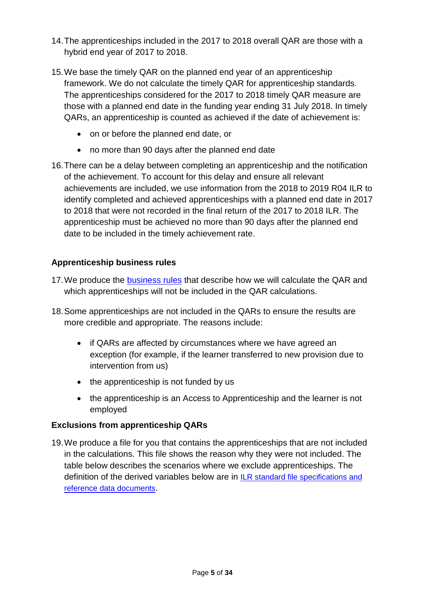- 14.The apprenticeships included in the 2017 to 2018 overall QAR are those with a hybrid end year of 2017 to 2018.
- 15.We base the timely QAR on the planned end year of an apprenticeship framework. We do not calculate the timely QAR for apprenticeship standards. The apprenticeships considered for the 2017 to 2018 timely QAR measure are those with a planned end date in the funding year ending 31 July 2018. In timely QARs, an apprenticeship is counted as achieved if the date of achievement is:
	- on or before the planned end date, or
	- no more than 90 days after the planned end date
- 16.There can be a delay between completing an apprenticeship and the notification of the achievement. To account for this delay and ensure all relevant achievements are included, we use information from the 2018 to 2019 R04 ILR to identify completed and achieved apprenticeships with a planned end date in 2017 to 2018 that were not recorded in the final return of the 2017 to 2018 ILR. The apprenticeship must be achieved no more than 90 days after the planned end date to be included in the timely achievement rate.

## <span id="page-4-0"></span>**Apprenticeship business rules**

- 17. We produce the [business rules](https://www.gov.uk/government/publications/qualification-achievement-rates-2017-to-2018) that describe how we will calculate the QAR and which apprenticeships will not be included in the QAR calculations.
- 18.Some apprenticeships are not included in the QARs to ensure the results are more credible and appropriate. The reasons include:
	- if QARs are affected by circumstances where we have agreed an exception (for example, if the learner transferred to new provision due to intervention from us)
	- the apprenticeship is not funded by us
	- the apprenticeship is an Access to Apprenticeship and the learner is not employed

## <span id="page-4-1"></span>**Exclusions from apprenticeship QARs**

19.We produce a file for you that contains the apprenticeships that are not included in the calculations. This file shows the reason why they were not included. The table below describes the scenarios where we exclude apprenticeships. The definition of the derived variables below are in [ILR standard file specifications and](https://www.gov.uk/government/publications/sfa-ilr-standard-file-specifications-and-reference-data)  [reference data documents](https://www.gov.uk/government/publications/sfa-ilr-standard-file-specifications-and-reference-data).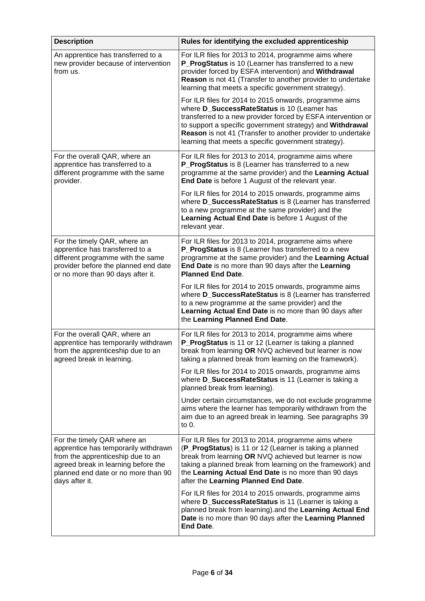| <b>Description</b>                                                                                                                                                                                       | Rules for identifying the excluded apprenticeship                                                                                                                                                                                                                                                                                                          |
|----------------------------------------------------------------------------------------------------------------------------------------------------------------------------------------------------------|------------------------------------------------------------------------------------------------------------------------------------------------------------------------------------------------------------------------------------------------------------------------------------------------------------------------------------------------------------|
| An apprentice has transferred to a<br>new provider because of intervention<br>from us.                                                                                                                   | For ILR files for 2013 to 2014, programme aims where<br>P ProgStatus is 10 (Learner has transferred to a new<br>provider forced by ESFA intervention) and Withdrawal<br>Reason is not 41 (Transfer to another provider to undertake<br>learning that meets a specific government strategy).                                                                |
|                                                                                                                                                                                                          | For ILR files for 2014 to 2015 onwards, programme aims<br>where D_SuccessRateStatus is 10 (Learner has<br>transferred to a new provider forced by ESFA intervention or<br>to support a specific government strategy) and Withdrawal<br>Reason is not 41 (Transfer to another provider to undertake<br>learning that meets a specific government strategy). |
| For the overall QAR, where an<br>apprentice has transferred to a<br>different programme with the same<br>provider.                                                                                       | For ILR files for 2013 to 2014, programme aims where<br>P_ProgStatus is 8 (Learner has transferred to a new<br>programme at the same provider) and the Learning Actual<br>End Date is before 1 August of the relevant year.                                                                                                                                |
|                                                                                                                                                                                                          | For ILR files for 2014 to 2015 onwards, programme aims<br>where D_SuccessRateStatus is 8 (Learner has transferred<br>to a new programme at the same provider) and the<br>Learning Actual End Date is before 1 August of the<br>relevant year.                                                                                                              |
| For the timely QAR, where an<br>apprentice has transferred to a<br>different programme with the same<br>provider before the planned end date<br>or no more than 90 days after it.                        | For ILR files for 2013 to 2014, programme aims where<br>P_ProgStatus is 8 (Learner has transferred to a new<br>programme at the same provider) and the Learning Actual<br>End Date is no more than 90 days after the Learning<br><b>Planned End Date.</b>                                                                                                  |
|                                                                                                                                                                                                          | For ILR files for 2014 to 2015 onwards, programme aims<br>where D_SuccessRateStatus is 8 (Learner has transferred<br>to a new programme at the same provider) and the<br>Learning Actual End Date is no more than 90 days after<br>the Learning Planned End Date.                                                                                          |
| For the overall QAR, where an<br>apprentice has temporarily withdrawn<br>from the apprenticeship due to an<br>agreed break in learning.                                                                  | For ILR files for 2013 to 2014, programme aims where<br>P_ProgStatus is 11 or 12 (Learner is taking a planned<br>break from learning OR NVQ achieved but learner is now<br>taking a planned break from learning on the framework).                                                                                                                         |
|                                                                                                                                                                                                          | For ILR files for 2014 to 2015 onwards, programme aims<br>where <b>D_SuccessRateStatus</b> is 11 (Learner is taking a<br>planned break from learning).                                                                                                                                                                                                     |
|                                                                                                                                                                                                          | Under certain circumstances, we do not exclude programme<br>aims where the learner has temporarily withdrawn from the<br>aim due to an agreed break in learning. See paragraphs 39<br>to $0.$                                                                                                                                                              |
| For the timely QAR where an<br>apprentice has temporarily withdrawn<br>from the apprenticeship due to an<br>agreed break in learning before the<br>planned end date or no more than 90<br>days after it. | For ILR files for 2013 to 2014, programme aims where<br>(P_ProgStatus) is 11 or 12 (Learner is taking a planned<br>break from learning OR NVQ achieved but learner is now<br>taking a planned break from learning on the framework) and<br>the Learning Actual End Date is no more than 90 days<br>after the Learning Planned End Date.                    |
|                                                                                                                                                                                                          | For ILR files for 2014 to 2015 onwards, programme aims<br>where <b>D_SuccessRateStatus</b> is 11 (Learner is taking a<br>planned break from learning).and the Learning Actual End<br>Date is no more than 90 days after the Learning Planned<br>End Date.                                                                                                  |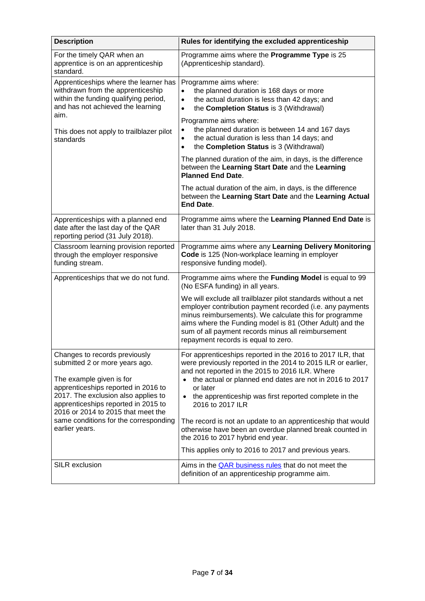| <b>Description</b>                                                                                                                                                                  | Rules for identifying the excluded apprenticeship                                                                                                                                                                                                                                                                                             |
|-------------------------------------------------------------------------------------------------------------------------------------------------------------------------------------|-----------------------------------------------------------------------------------------------------------------------------------------------------------------------------------------------------------------------------------------------------------------------------------------------------------------------------------------------|
| For the timely QAR when an<br>apprentice is on an apprenticeship<br>standard.                                                                                                       | Programme aims where the Programme Type is 25<br>(Apprenticeship standard).                                                                                                                                                                                                                                                                   |
| Apprenticeships where the learner has<br>withdrawn from the apprenticeship<br>within the funding qualifying period,<br>and has not achieved the learning                            | Programme aims where:<br>the planned duration is 168 days or more<br>$\bullet$<br>the actual duration is less than 42 days; and<br>$\bullet$<br>the Completion Status is 3 (Withdrawal)<br>$\bullet$                                                                                                                                          |
| aim.<br>This does not apply to trailblazer pilot<br>standards                                                                                                                       | Programme aims where:<br>the planned duration is between 14 and 167 days<br>$\bullet$<br>the actual duration is less than 14 days; and<br>$\bullet$<br>the Completion Status is 3 (Withdrawal)<br>$\bullet$                                                                                                                                   |
|                                                                                                                                                                                     | The planned duration of the aim, in days, is the difference<br>between the Learning Start Date and the Learning<br><b>Planned End Date.</b>                                                                                                                                                                                                   |
|                                                                                                                                                                                     | The actual duration of the aim, in days, is the difference<br>between the Learning Start Date and the Learning Actual<br><b>End Date.</b>                                                                                                                                                                                                     |
| Apprenticeships with a planned end<br>date after the last day of the QAR<br>reporting period (31 July 2018).                                                                        | Programme aims where the Learning Planned End Date is<br>later than 31 July 2018.                                                                                                                                                                                                                                                             |
| Classroom learning provision reported<br>through the employer responsive<br>funding stream.                                                                                         | Programme aims where any Learning Delivery Monitoring<br>Code is 125 (Non-workplace learning in employer<br>responsive funding model).                                                                                                                                                                                                        |
| Apprenticeships that we do not fund.                                                                                                                                                | Programme aims where the Funding Model is equal to 99<br>(No ESFA funding) in all years.                                                                                                                                                                                                                                                      |
|                                                                                                                                                                                     | We will exclude all trailblazer pilot standards without a net<br>employer contribution payment recorded (i.e. any payments<br>minus reimbursements). We calculate this for programme<br>aims where the Funding model is 81 (Other Adult) and the<br>sum of all payment records minus all reimbursement<br>repayment records is equal to zero. |
| Changes to records previously<br>submitted 2 or more years ago.                                                                                                                     | For apprenticeships reported in the 2016 to 2017 ILR, that<br>were previously reported in the 2014 to 2015 ILR or earlier,<br>and not reported in the 2015 to 2016 ILR. Where                                                                                                                                                                 |
| The example given is for<br>apprenticeships reported in 2016 to<br>2017. The exclusion also applies to<br>apprenticeships reported in 2015 to<br>2016 or 2014 to 2015 that meet the | the actual or planned end dates are not in 2016 to 2017<br>$\bullet$<br>or later<br>the apprenticeship was first reported complete in the<br>$\bullet$<br>2016 to 2017 ILR                                                                                                                                                                    |
| same conditions for the corresponding<br>earlier years.                                                                                                                             | The record is not an update to an apprenticeship that would<br>otherwise have been an overdue planned break counted in<br>the 2016 to 2017 hybrid end year.                                                                                                                                                                                   |
|                                                                                                                                                                                     | This applies only to 2016 to 2017 and previous years.                                                                                                                                                                                                                                                                                         |
| <b>SILR exclusion</b>                                                                                                                                                               | Aims in the <b>QAR</b> business rules that do not meet the<br>definition of an apprenticeship programme aim.                                                                                                                                                                                                                                  |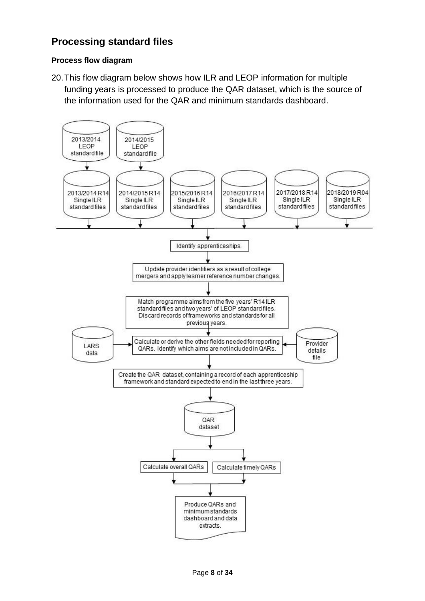# <span id="page-7-0"></span>**Processing standard files**

#### <span id="page-7-1"></span>**Process flow diagram**

20.This flow diagram below shows how ILR and LEOP information for multiple funding years is processed to produce the QAR dataset, which is the source of the information used for the QAR and minimum standards dashboard.

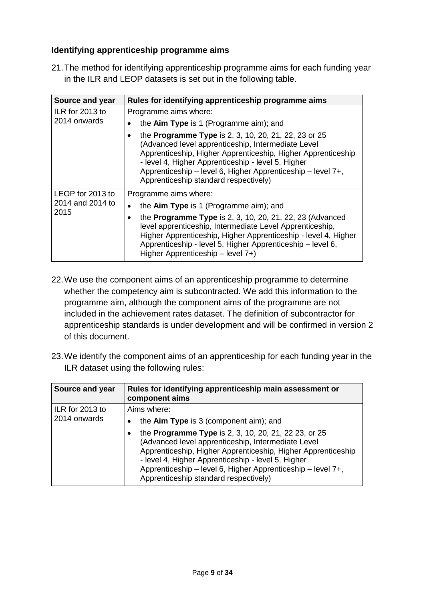## <span id="page-8-0"></span>**Identifying apprenticeship programme aims**

21.The method for identifying apprenticeship programme aims for each funding year in the ILR and LEOP datasets is set out in the following table.

| Source and year          | Rules for identifying apprenticeship programme aims                                                                                                                                                                                                                                                                                             |  |  |
|--------------------------|-------------------------------------------------------------------------------------------------------------------------------------------------------------------------------------------------------------------------------------------------------------------------------------------------------------------------------------------------|--|--|
| ILR for 2013 to          | Programme aims where:                                                                                                                                                                                                                                                                                                                           |  |  |
| 2014 onwards             | the Aim Type is 1 (Programme aim); and                                                                                                                                                                                                                                                                                                          |  |  |
|                          | the <b>Programme Type</b> is 2, 3, 10, 20, 21, 22, 23 or 25<br>(Advanced level apprenticeship, Intermediate Level<br>Apprenticeship, Higher Apprenticeship, Higher Apprenticeship<br>- level 4, Higher Apprenticeship - level 5, Higher<br>Apprenticeship - level 6, Higher Apprenticeship - level 7+,<br>Apprenticeship standard respectively) |  |  |
| LEOP for 2013 to         | Programme aims where:                                                                                                                                                                                                                                                                                                                           |  |  |
| 2014 and 2014 to<br>2015 | the Aim Type is 1 (Programme aim); and                                                                                                                                                                                                                                                                                                          |  |  |
|                          | the <b>Programme Type</b> is 2, 3, 10, 20, 21, 22, 23 (Advanced<br>level apprenticeship, Intermediate Level Apprenticeship,<br>Higher Apprenticeship, Higher Apprenticeship - level 4, Higher<br>Apprenticeship - level 5, Higher Apprenticeship - level 6,<br>Higher Apprenticeship - level 7+)                                                |  |  |

- 22.We use the component aims of an apprenticeship programme to determine whether the competency aim is subcontracted. We add this information to the programme aim, although the component aims of the programme are not included in the achievement rates dataset. The definition of subcontractor for apprenticeship standards is under development and will be confirmed in version 2 of this document.
- 23.We identify the component aims of an apprenticeship for each funding year in the ILR dataset using the following rules:

| Source and year | Rules for identifying apprenticeship main assessment or<br>component aims                                                                                                                                                                                                                                                                       |
|-----------------|-------------------------------------------------------------------------------------------------------------------------------------------------------------------------------------------------------------------------------------------------------------------------------------------------------------------------------------------------|
| ILR for 2013 to | Aims where:                                                                                                                                                                                                                                                                                                                                     |
| 2014 onwards    | the $A$ im Type is 3 (component aim); and                                                                                                                                                                                                                                                                                                       |
|                 | the <b>Programme Type</b> is 2, 3, 10, 20, 21, 22 23, or 25<br>(Advanced level apprenticeship, Intermediate Level<br>Apprenticeship, Higher Apprenticeship, Higher Apprenticeship<br>- level 4, Higher Apprenticeship - level 5, Higher<br>Apprenticeship - level 6, Higher Apprenticeship - level 7+,<br>Apprenticeship standard respectively) |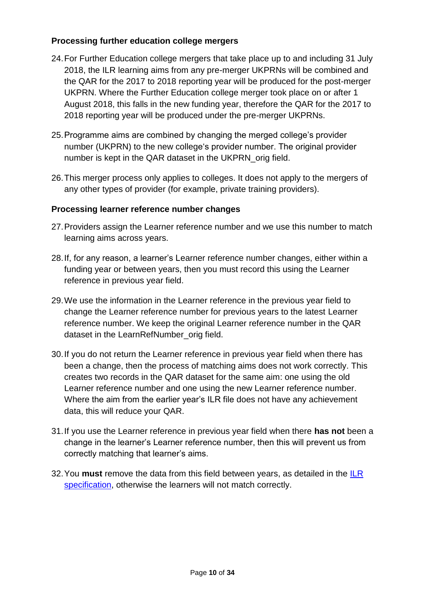## <span id="page-9-3"></span><span id="page-9-2"></span><span id="page-9-0"></span>**Processing further education college mergers**

- 24.For Further Education college mergers that take place up to and including 31 July 2018, the ILR learning aims from any pre-merger UKPRNs will be combined and the QAR for the 2017 to 2018 reporting year will be produced for the post-merger UKPRN. Where the Further Education college merger took place on or after 1 August 2018, this falls in the new funding year, therefore the QAR for the 2017 to 2018 reporting year will be produced under the pre-merger UKPRNs.
- 25.Programme aims are combined by changing the merged college's provider number (UKPRN) to the new college's provider number. The original provider number is kept in the QAR dataset in the UKPRN\_orig field.
- 26.This merger process only applies to colleges. It does not apply to the mergers of any other types of provider (for example, private training providers).

#### <span id="page-9-1"></span>**Processing learner reference number changes**

- 27.Providers assign the Learner reference number and we use this number to match learning aims across years.
- 28.If, for any reason, a learner's Learner reference number changes, either within a funding year or between years, then you must record this using the Learner reference in previous year field.
- 29.We use the information in the Learner reference in the previous year field to change the Learner reference number for previous years to the latest Learner reference number. We keep the original Learner reference number in the QAR dataset in the LearnRefNumber orig field.
- 30.If you do not return the Learner reference in previous year field when there has been a change, then the process of matching aims does not work correctly. This creates two records in the QAR dataset for the same aim: one using the old Learner reference number and one using the new Learner reference number. Where the aim from the earlier year's ILR file does not have any achievement data, this will reduce your QAR.
- 31.If you use the Learner reference in previous year field when there **has not** been a change in the learner's Learner reference number, then this will prevent us from correctly matching that learner's aims.
- 32.You **must** remove the data from this field between years, as detailed in the [ILR](https://www.gov.uk/government/collections/individualised-learner-record-ilr)  [specification,](https://www.gov.uk/government/collections/individualised-learner-record-ilr) otherwise the learners will not match correctly.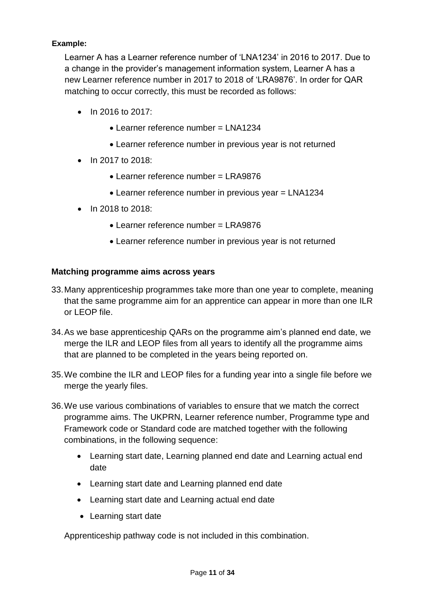## **Example:**

Learner A has a Learner reference number of 'LNA1234' in 2016 to 2017. Due to a change in the provider's management information system, Learner A has a new Learner reference number in 2017 to 2018 of 'LRA9876'. In order for QAR matching to occur correctly, this must be recorded as follows:

- $\bullet$  In 2016 to 2017:
	- Learner reference number = LNA1234
	- Learner reference number in previous year is not returned
- In 2017 to 2018:
	- Learner reference number = LRA9876
	- Learner reference number in previous year = LNA1234
- $\bullet$  In 2018 to 2018:
	- $\bullet$  Learner reference number = LRA9876
	- Learner reference number in previous year is not returned

#### <span id="page-10-0"></span>**Matching programme aims across years**

- 33.Many apprenticeship programmes take more than one year to complete, meaning that the same programme aim for an apprentice can appear in more than one ILR or LEOP file.
- 34.As we base apprenticeship QARs on the programme aim's planned end date, we merge the ILR and LEOP files from all years to identify all the programme aims that are planned to be completed in the years being reported on.
- 35.We combine the ILR and LEOP files for a funding year into a single file before we merge the yearly files.
- 36.We use various combinations of variables to ensure that we match the correct programme aims. The UKPRN, Learner reference number, Programme type and Framework code or Standard code are matched together with the following combinations, in the following sequence:
	- Learning start date, Learning planned end date and Learning actual end date
	- Learning start date and Learning planned end date
	- Learning start date and Learning actual end date
	- Learning start date

Apprenticeship pathway code is not included in this combination.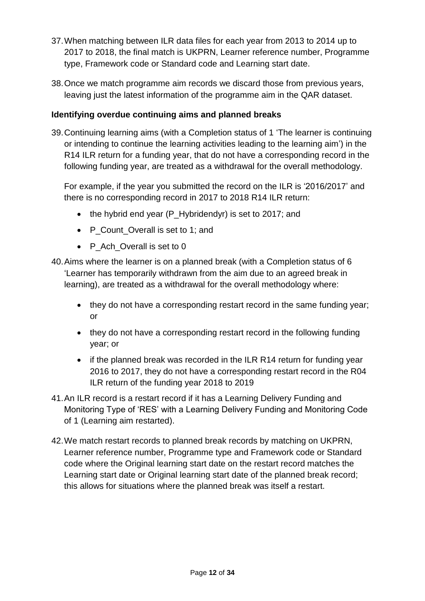- <span id="page-11-2"></span>37.When matching between ILR data files for each year from 2013 to 2014 up to 2017 to 2018, the final match is UKPRN, Learner reference number, Programme type, Framework code or Standard code and Learning start date.
- <span id="page-11-3"></span>38.Once we match programme aim records we discard those from previous years, leaving just the latest information of the programme aim in the QAR dataset.

## <span id="page-11-0"></span>**Identifying overdue continuing aims and planned breaks**

<span id="page-11-1"></span>39.Continuing learning aims (with a Completion status of 1 'The learner is continuing or intending to continue the learning activities leading to the learning aim') in the R14 ILR return for a funding year, that do not have a corresponding record in the following funding year, are treated as a withdrawal for the overall methodology.

For example, if the year you submitted the record on the ILR is '2016/2017' and there is no corresponding record in 2017 to 2018 R14 ILR return:

- $\bullet$  the hybrid end year (P\_Hybridendyr) is set to 2017; and
- P Count Overall is set to 1; and
- P Ach Overall is set to 0
- 40.Aims where the learner is on a planned break (with a Completion status of 6 'Learner has temporarily withdrawn from the aim due to an agreed break in learning), are treated as a withdrawal for the overall methodology where:
	- they do not have a corresponding restart record in the same funding year; or
	- they do not have a corresponding restart record in the following funding year; or
	- if the planned break was recorded in the ILR R14 return for funding year 2016 to 2017, they do not have a corresponding restart record in the R04 ILR return of the funding year 2018 to 2019
- 41.An ILR record is a restart record if it has a Learning Delivery Funding and Monitoring Type of 'RES' with a Learning Delivery Funding and Monitoring Code of 1 (Learning aim restarted).
- 42.We match restart records to planned break records by matching on UKPRN, Learner reference number, Programme type and Framework code or Standard code where the Original learning start date on the restart record matches the Learning start date or Original learning start date of the planned break record; this allows for situations where the planned break was itself a restart.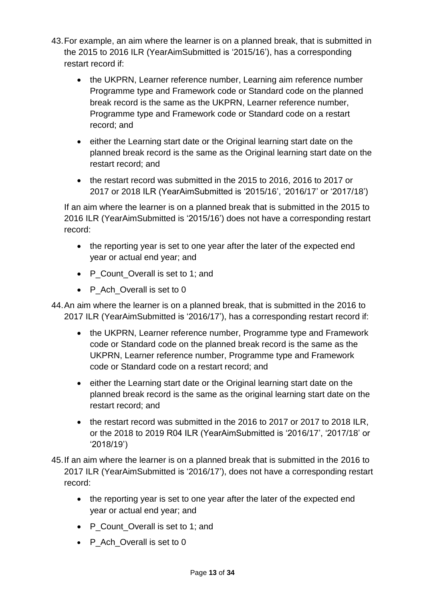- 43.For example, an aim where the learner is on a planned break, that is submitted in the 2015 to 2016 ILR (YearAimSubmitted is '2015/16'), has a corresponding restart record if:
	- the UKPRN, Learner reference number, Learning aim reference number Programme type and Framework code or Standard code on the planned break record is the same as the UKPRN, Learner reference number, Programme type and Framework code or Standard code on a restart record; and
	- either the Learning start date or the Original learning start date on the planned break record is the same as the Original learning start date on the restart record; and
	- the restart record was submitted in the 2015 to 2016, 2016 to 2017 or 2017 or 2018 ILR (YearAimSubmitted is '2015/16', '2016/17' or '2017/18')

<span id="page-12-0"></span>If an aim where the learner is on a planned break that is submitted in the 2015 to 2016 ILR (YearAimSubmitted is '2015/16') does not have a corresponding restart record:

- the reporting year is set to one year after the later of the expected end year or actual end year; and
- P\_Count\_Overall is set to 1; and
- P Ach Overall is set to 0

<span id="page-12-1"></span>44.An aim where the learner is on a planned break, that is submitted in the 2016 to 2017 ILR (YearAimSubmitted is '2016/17'), has a corresponding restart record if:

- the UKPRN, Learner reference number, Programme type and Framework code or Standard code on the planned break record is the same as the UKPRN, Learner reference number, Programme type and Framework code or Standard code on a restart record; and
- either the Learning start date or the Original learning start date on the planned break record is the same as the original learning start date on the restart record; and
- the restart record was submitted in the 2016 to 2017 or 2017 to 2018 ILR, or the 2018 to 2019 R04 ILR (YearAimSubmitted is '2016/17', '2017/18' or '2018/19')
- 45.If an aim where the learner is on a planned break that is submitted in the 2016 to 2017 ILR (YearAimSubmitted is '2016/17'), does not have a corresponding restart record:
	- the reporting year is set to one year after the later of the expected end year or actual end year; and
	- P Count Overall is set to 1; and
	- P Ach Overall is set to 0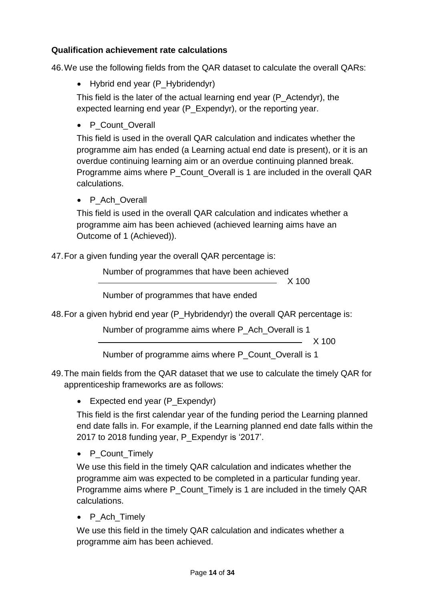## <span id="page-13-0"></span>**Qualification achievement rate calculations**

46.We use the following fields from the QAR dataset to calculate the overall QARs:

• Hybrid end year (P\_Hybridendyr)

This field is the later of the actual learning end year (P\_Actendyr), the expected learning end year (P\_Expendyr), or the reporting year.

• P Count Overall

This field is used in the overall QAR calculation and indicates whether the programme aim has ended (a Learning actual end date is present), or it is an overdue continuing learning aim or an overdue continuing planned break. Programme aims where P\_Count\_Overall is 1 are included in the overall QAR calculations.

• P Ach Overall

This field is used in the overall QAR calculation and indicates whether a programme aim has been achieved (achieved learning aims have an Outcome of 1 (Achieved)).

47.For a given funding year the overall QAR percentage is:

Number of programmes that have been achieved

X 100

Number of programmes that have ended

48.For a given hybrid end year (P\_Hybridendyr) the overall QAR percentage is:

Number of programme aims where P\_Ach\_Overall is 1

<u>X</u> 100

Number of programme aims where P\_Count\_Overall is 1

- 49.The main fields from the QAR dataset that we use to calculate the timely QAR for apprenticeship frameworks are as follows:
	- Expected end year (P\_Expendyr)

This field is the first calendar year of the funding period the Learning planned end date falls in. For example, if the Learning planned end date falls within the 2017 to 2018 funding year, P\_Expendyr is '2017'.

• P\_Count\_Timely

We use this field in the timely QAR calculation and indicates whether the programme aim was expected to be completed in a particular funding year. Programme aims where P\_Count\_Timely is 1 are included in the timely QAR calculations.

• P\_Ach\_Timely

We use this field in the timely QAR calculation and indicates whether a programme aim has been achieved.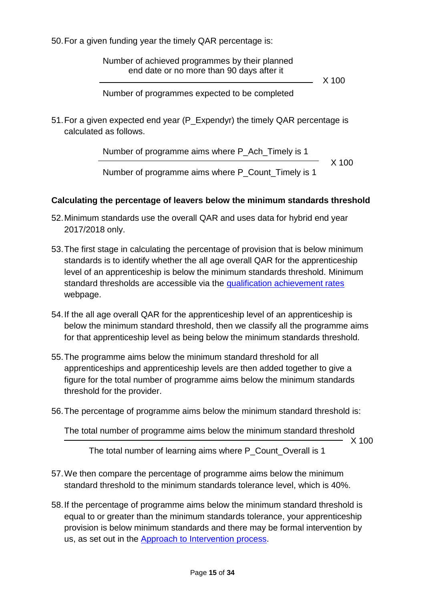<span id="page-14-1"></span>50.For a given funding year the timely QAR percentage is:

Number of achieved programmes by their planned end date or no more than 90 days after it

X 100

Number of programmes expected to be completed

51.For a given expected end year (P\_Expendyr) the timely QAR percentage is calculated as follows.

Number of programme aims where P\_Ach\_Timely is 1

 $\sim$  X 100

Number of programme aims where P\_Count\_Timely is 1

## <span id="page-14-0"></span>**Calculating the percentage of leavers below the minimum standards threshold**

- 52.Minimum standards use the overall QAR and uses data for hybrid end year 2017/2018 only.
- 53.The first stage in calculating the percentage of provision that is below minimum standards is to identify whether the all age overall QAR for the apprenticeship level of an apprenticeship is below the minimum standards threshold. Minimum standard thresholds are accessible via the [qualification achievement rates](https://www.gov.uk/government/collections/qualification-achievement-rates-and-minimum-standards#minimum-standards-) webpage.
- <span id="page-14-2"></span>54.If the all age overall QAR for the apprenticeship level of an apprenticeship is below the minimum standard threshold, then we classify all the programme aims for that apprenticeship level as being below the minimum standards threshold.
- 55.The programme aims below the minimum standard threshold for all apprenticeships and apprenticeship levels are then added together to give a figure for the total number of programme aims below the minimum standards threshold for the provider.
- 56.The percentage of programme aims below the minimum standard threshold is:

The total number of programme aims below the minimum standard threshold  $- X 100$ 

The total number of learning aims where P\_Count\_Overall is 1

- 57.We then compare the percentage of programme aims below the minimum standard threshold to the minimum standards tolerance level, which is 40%.
- 58.If the percentage of programme aims below the minimum standard threshold is equal to or greater than the minimum standards tolerance, your apprenticeship provision is below minimum standards and there may be formal intervention by us, as set out in the [Approach to Intervention](https://www.gov.uk/guidance/16-to-19-education-accountability) process.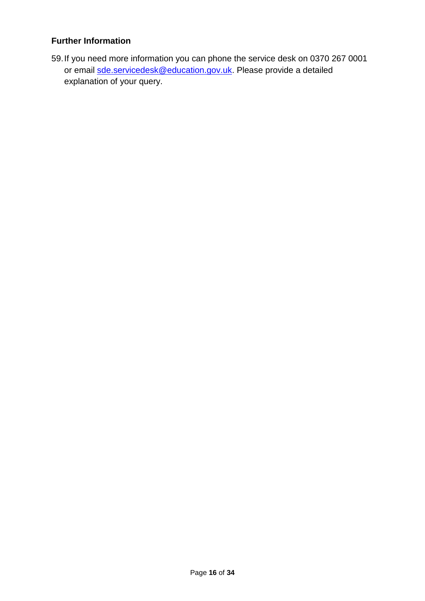#### <span id="page-15-0"></span>**Further Information**

59.If you need more information you can phone the service desk on 0370 267 0001 or email [sde.servicedesk@education.gov.uk.](mailto:sde.servicedesk@education.gov.uk) Please provide a detailed explanation of your query.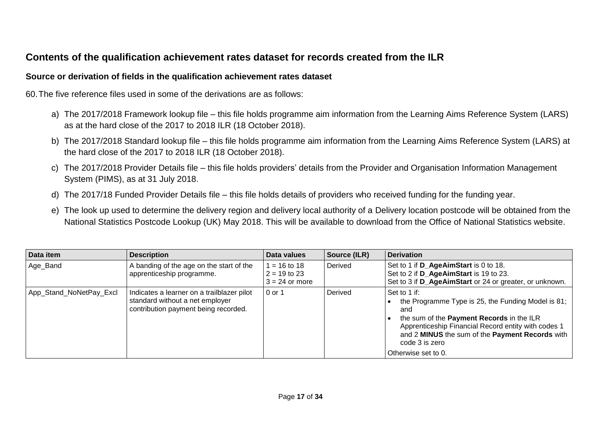# **Contents of the qualification achievement rates dataset for records created from the ILR**

#### **Source or derivation of fields in the qualification achievement rates dataset**

60.The five reference files used in some of the derivations are as follows:

- a) The 2017/2018 Framework lookup file this file holds programme aim information from the Learning Aims Reference System (LARS) as at the hard close of the 2017 to 2018 ILR (18 October 2018).
- b) The 2017/2018 Standard lookup file this file holds programme aim information from the Learning Aims Reference System (LARS) at the hard close of the 2017 to 2018 ILR (18 October 2018).
- c) The 2017/2018 Provider Details file this file holds providers' details from the Provider and Organisation Information Management System (PIMS), as at 31 July 2018.
- d) The 2017/18 Funded Provider Details file this file holds details of providers who received funding for the funding year.
- e) The look up used to determine the delivery region and delivery local authority of a Delivery location postcode will be obtained from the National Statistics Postcode Lookup (UK) May 2018. This will be available to download from the Office of National Statistics website.

<span id="page-16-1"></span><span id="page-16-0"></span>

| Data item               | <b>Description</b>                                                                                                    | Data values                                        | Source (ILR) | <b>Derivation</b>                                                                                                                                                                                                                                                         |
|-------------------------|-----------------------------------------------------------------------------------------------------------------------|----------------------------------------------------|--------------|---------------------------------------------------------------------------------------------------------------------------------------------------------------------------------------------------------------------------------------------------------------------------|
| Age_Band                | A banding of the age on the start of the<br>apprenticeship programme.                                                 | $= 16$ to 18<br>$2 = 19$ to 23<br>$3 = 24$ or more | Derived      | Set to 1 if D_AgeAimStart is 0 to 18.<br>Set to 2 if D_AgeAimStart is 19 to 23.<br>Set to 3 if D AgeAimStart or 24 or greater, or unknown.                                                                                                                                |
| App_Stand_NoNetPay_Excl | Indicates a learner on a trailblazer pilot<br>standard without a net employer<br>contribution payment being recorded. | 0 or 1                                             | Derived      | Set to 1 if:<br>the Programme Type is 25, the Funding Model is 81;<br>and<br>the sum of the Payment Records in the ILR<br>Apprenticeship Financial Record entity with codes 1<br>and 2 MINUS the sum of the Payment Records with<br>code 3 is zero<br>Otherwise set to 0. |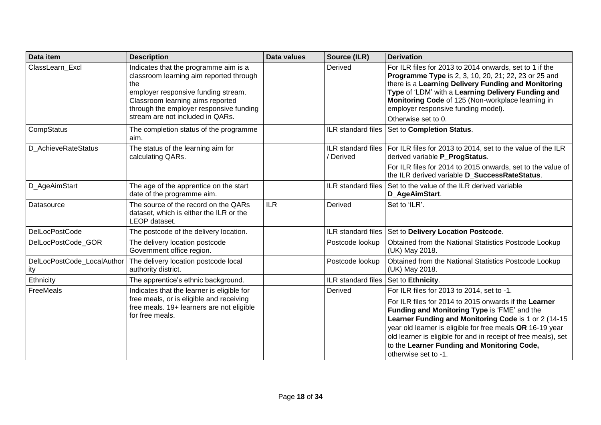| Data item                         | <b>Description</b>                                                                                                                                                                                                                                | <b>Data values</b> | Source (ILR)                           | <b>Derivation</b>                                                                                                                                                                                                                                                                                                                                                                                                 |
|-----------------------------------|---------------------------------------------------------------------------------------------------------------------------------------------------------------------------------------------------------------------------------------------------|--------------------|----------------------------------------|-------------------------------------------------------------------------------------------------------------------------------------------------------------------------------------------------------------------------------------------------------------------------------------------------------------------------------------------------------------------------------------------------------------------|
| ClassLearn_Excl                   | Indicates that the programme aim is a<br>classroom learning aim reported through<br>the<br>employer responsive funding stream.<br>Classroom learning aims reported<br>through the employer responsive funding<br>stream are not included in QARs. |                    | Derived                                | For ILR files for 2013 to 2014 onwards, set to 1 if the<br><b>Programme Type</b> is 2, 3, 10, 20, 21; 22, 23 or 25 and<br>there is a Learning Delivery Funding and Monitoring<br>Type of 'LDM' with a Learning Delivery Funding and<br>Monitoring Code of 125 (Non-workplace learning in<br>employer responsive funding model).<br>Otherwise set to 0.                                                            |
| CompStatus                        | The completion status of the programme<br>aim.                                                                                                                                                                                                    |                    |                                        | ILR standard files   Set to Completion Status.                                                                                                                                                                                                                                                                                                                                                                    |
| D AchieveRateStatus               | The status of the learning aim for<br>calculating QARs.                                                                                                                                                                                           |                    | / Derived                              | ILR standard files   For ILR files for 2013 to 2014, set to the value of the ILR<br>derived variable P_ProgStatus.<br>For ILR files for 2014 to 2015 onwards, set to the value of<br>the ILR derived variable D SuccessRateStatus.                                                                                                                                                                                |
| D_AgeAimStart                     | The age of the apprentice on the start<br>date of the programme aim.                                                                                                                                                                              |                    |                                        | ILR standard files Set to the value of the ILR derived variable<br>D_AgeAimStart.                                                                                                                                                                                                                                                                                                                                 |
| Datasource                        | The source of the record on the QARs<br>dataset, which is either the ILR or the<br>LEOP dataset.                                                                                                                                                  | <b>ILR</b>         | Derived                                | Set to 'ILR'.                                                                                                                                                                                                                                                                                                                                                                                                     |
| <b>DelLocPostCode</b>             | The postcode of the delivery location.                                                                                                                                                                                                            |                    |                                        | ILR standard files   Set to Delivery Location Postcode.                                                                                                                                                                                                                                                                                                                                                           |
| DelLocPostCode_GOR                | The delivery location postcode<br>Government office region.                                                                                                                                                                                       |                    | Postcode lookup                        | Obtained from the National Statistics Postcode Lookup<br>(UK) May 2018.                                                                                                                                                                                                                                                                                                                                           |
| DelLocPostCode_LocalAuthor<br>ity | The delivery location postcode local<br>authority district.                                                                                                                                                                                       |                    | Postcode lookup                        | Obtained from the National Statistics Postcode Lookup<br>(UK) May 2018.                                                                                                                                                                                                                                                                                                                                           |
| Ethnicity                         | The apprentice's ethnic background.                                                                                                                                                                                                               |                    | ILR standard files   Set to Ethnicity. |                                                                                                                                                                                                                                                                                                                                                                                                                   |
| FreeMeals                         | Indicates that the learner is eligible for<br>free meals, or is eligible and receiving<br>free meals. 19+ learners are not eligible<br>for free meals.                                                                                            |                    | Derived                                | For ILR files for 2013 to 2014, set to -1.<br>For ILR files for 2014 to 2015 onwards if the Learner<br>Funding and Monitoring Type is 'FME' and the<br>Learner Funding and Monitoring Code is 1 or 2 (14-15<br>year old learner is eligible for free meals OR 16-19 year<br>old learner is eligible for and in receipt of free meals), set<br>to the Learner Funding and Monitoring Code,<br>otherwise set to -1. |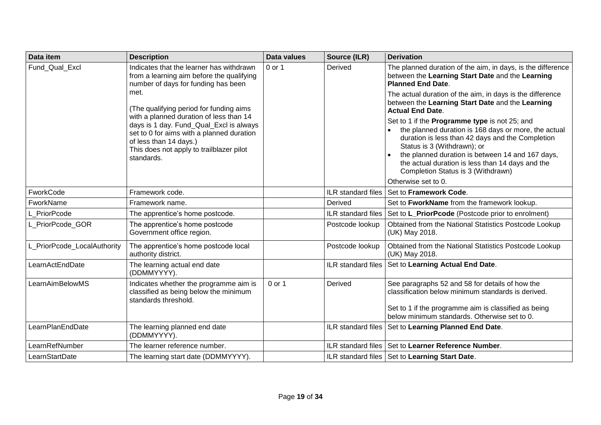| Data item                   | <b>Description</b>                                                                                                                                                                                                  | Data values | Source (ILR)              | <b>Derivation</b>                                                                                                                                                                                                                                                                                                                      |
|-----------------------------|---------------------------------------------------------------------------------------------------------------------------------------------------------------------------------------------------------------------|-------------|---------------------------|----------------------------------------------------------------------------------------------------------------------------------------------------------------------------------------------------------------------------------------------------------------------------------------------------------------------------------------|
| Fund_Qual_Excl              | Indicates that the learner has withdrawn<br>from a learning aim before the qualifying<br>number of days for funding has been<br>met.<br>(The qualifying period for funding aims                                     | 0 or 1      | Derived                   | The planned duration of the aim, in days, is the difference<br>between the Learning Start Date and the Learning<br><b>Planned End Date.</b>                                                                                                                                                                                            |
|                             |                                                                                                                                                                                                                     |             |                           | The actual duration of the aim, in days is the difference<br>between the Learning Start Date and the Learning<br><b>Actual End Date.</b>                                                                                                                                                                                               |
|                             | with a planned duration of less than 14<br>days is 1 day. Fund_Qual_Excl is always<br>set to 0 for aims with a planned duration<br>of less than 14 days.)<br>This does not apply to trailblazer pilot<br>standards. |             |                           | Set to 1 if the Programme type is not 25; and<br>the planned duration is 168 days or more, the actual<br>duration is less than 42 days and the Completion<br>Status is 3 (Withdrawn); or<br>the planned duration is between 14 and 167 days,<br>the actual duration is less than 14 days and the<br>Completion Status is 3 (Withdrawn) |
| FworkCode                   | Framework code.                                                                                                                                                                                                     |             | <b>ILR</b> standard files | Otherwise set to 0.<br>Set to Framework Code.                                                                                                                                                                                                                                                                                          |
| FworkName                   | Framework name.                                                                                                                                                                                                     |             | Derived                   | Set to FworkName from the framework lookup.                                                                                                                                                                                                                                                                                            |
| L PriorPcode                | The apprentice's home postcode.                                                                                                                                                                                     |             | ILR standard files        | Set to L_PriorPcode (Postcode prior to enrolment)                                                                                                                                                                                                                                                                                      |
| L PriorPcode GOR            | The apprentice's home postcode<br>Government office region.                                                                                                                                                         |             | Postcode lookup           | Obtained from the National Statistics Postcode Lookup<br>(UK) May 2018.                                                                                                                                                                                                                                                                |
| L_PriorPcode_LocalAuthority | The apprentice's home postcode local<br>authority district.                                                                                                                                                         |             | Postcode lookup           | Obtained from the National Statistics Postcode Lookup<br>(UK) May 2018.                                                                                                                                                                                                                                                                |
| LearnActEndDate             | The learning actual end date<br>(DDMMYYYY).                                                                                                                                                                         |             |                           | ILR standard files   Set to Learning Actual End Date.                                                                                                                                                                                                                                                                                  |
| LearnAimBelowMS             | Indicates whether the programme aim is<br>classified as being below the minimum<br>standards threshold.                                                                                                             | 0 or 1      | Derived                   | See paragraphs 52 and 58 for details of how the<br>classification below minimum standards is derived.<br>Set to 1 if the programme aim is classified as being                                                                                                                                                                          |
|                             |                                                                                                                                                                                                                     |             |                           | below minimum standards. Otherwise set to 0.                                                                                                                                                                                                                                                                                           |
| LearnPlanEndDate            | The learning planned end date<br>(DDMMYYYY).                                                                                                                                                                        |             |                           | ILR standard files   Set to Learning Planned End Date.                                                                                                                                                                                                                                                                                 |
| LearnRefNumber              | The learner reference number.                                                                                                                                                                                       |             |                           | ILR standard files Set to Learner Reference Number.                                                                                                                                                                                                                                                                                    |
| LearnStartDate              | The learning start date (DDMMYYYY).                                                                                                                                                                                 |             |                           | ILR standard files   Set to Learning Start Date.                                                                                                                                                                                                                                                                                       |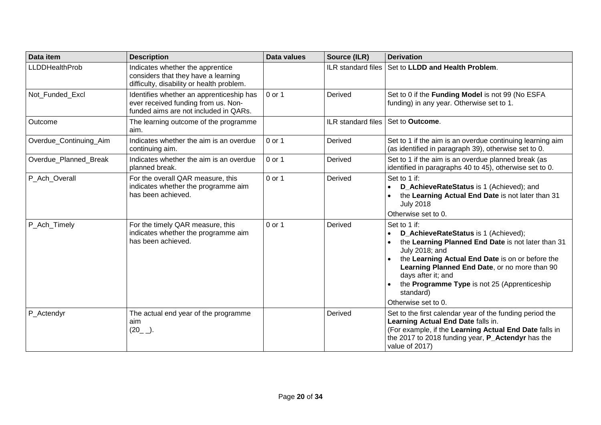| Data item              | <b>Description</b>                                                                                                       | Data values | Source (ILR)       | <b>Derivation</b>                                                                                                                                                                                                                                                                                                                                                     |
|------------------------|--------------------------------------------------------------------------------------------------------------------------|-------------|--------------------|-----------------------------------------------------------------------------------------------------------------------------------------------------------------------------------------------------------------------------------------------------------------------------------------------------------------------------------------------------------------------|
| <b>LLDDHealthProb</b>  | Indicates whether the apprentice<br>considers that they have a learning<br>difficulty, disability or health problem.     |             | ILR standard files | Set to LLDD and Health Problem.                                                                                                                                                                                                                                                                                                                                       |
| Not Funded Excl        | Identifies whether an apprenticeship has<br>ever received funding from us. Non-<br>funded aims are not included in QARs. | 0 or 1      | Derived            | Set to 0 if the Funding Model is not 99 (No ESFA<br>funding) in any year. Otherwise set to 1.                                                                                                                                                                                                                                                                         |
| Outcome                | The learning outcome of the programme<br>aim.                                                                            |             | ILR standard files | Set to Outcome.                                                                                                                                                                                                                                                                                                                                                       |
| Overdue_Continuing_Aim | Indicates whether the aim is an overdue<br>continuing aim.                                                               | $0$ or 1    | Derived            | Set to 1 if the aim is an overdue continuing learning aim<br>(as identified in paragraph 39), otherwise set to 0.                                                                                                                                                                                                                                                     |
| Overdue Planned Break  | Indicates whether the aim is an overdue<br>planned break.                                                                | 0 or 1      | Derived            | Set to 1 if the aim is an overdue planned break (as<br>identified in paragraphs 40 to 45), otherwise set to 0.                                                                                                                                                                                                                                                        |
| P_Ach_Overall          | For the overall QAR measure, this<br>indicates whether the programme aim<br>has been achieved.                           | 0 or 1      | Derived            | Set to 1 if:<br>D_AchieveRateStatus is 1 (Achieved); and<br>$\bullet$<br>the Learning Actual End Date is not later than 31<br><b>July 2018</b><br>Otherwise set to 0.                                                                                                                                                                                                 |
| P_Ach_Timely           | For the timely QAR measure, this<br>indicates whether the programme aim<br>has been achieved.                            | 0 or 1      | Derived            | Set to 1 if:<br>D_AchieveRateStatus is 1 (Achieved);<br>$\bullet$<br>the Learning Planned End Date is not later than 31<br>$\bullet$<br>July 2018; and<br>the Learning Actual End Date is on or before the<br>Learning Planned End Date, or no more than 90<br>days after it; and<br>the Programme Type is not 25 (Apprenticeship<br>standard)<br>Otherwise set to 0. |
| P_Actendyr             | The actual end year of the programme<br>aim<br>$(20$ <sub>-</sub> $)$ .                                                  |             | Derived            | Set to the first calendar year of the funding period the<br>Learning Actual End Date falls in.<br>(For example, if the Learning Actual End Date falls in<br>the 2017 to 2018 funding year, <b>P_Actendyr</b> has the<br>value of 2017)                                                                                                                                |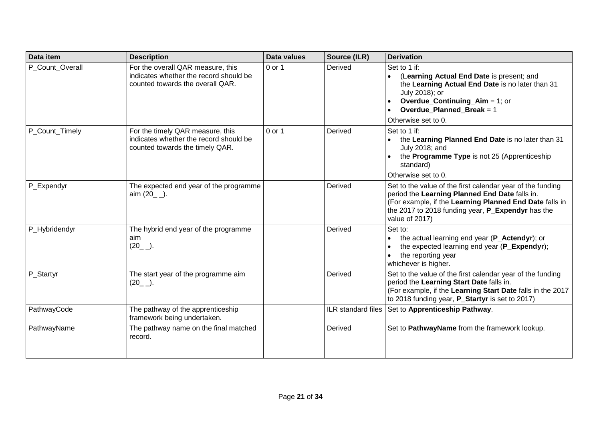| Data item       | <b>Description</b>                                                                                              | Data values | Source (ILR)       | <b>Derivation</b>                                                                                                                                                                                                                                             |
|-----------------|-----------------------------------------------------------------------------------------------------------------|-------------|--------------------|---------------------------------------------------------------------------------------------------------------------------------------------------------------------------------------------------------------------------------------------------------------|
| P_Count_Overall | For the overall QAR measure, this<br>indicates whether the record should be<br>counted towards the overall QAR. | 0 or 1      | Derived            | Set to 1 if:<br>(Learning Actual End Date is present; and<br>the Learning Actual End Date is no later than 31<br>July 2018); or<br><b>Overdue_Continuing_Aim = 1; or</b><br>$\bullet$<br><b>Overdue_Planned_Break = 1</b><br>$\bullet$<br>Otherwise set to 0. |
| P_Count_Timely  | For the timely QAR measure, this<br>indicates whether the record should be<br>counted towards the timely QAR.   | 0 or 1      | Derived            | Set to 1 if:<br>the Learning Planned End Date is no later than 31<br>$\bullet$<br>July 2018; and<br>the Programme Type is not 25 (Apprenticeship<br>$\bullet$<br>standard)<br>Otherwise set to 0.                                                             |
| P_Expendyr      | The expected end year of the programme<br>aim $(20$ $)$ .                                                       |             | Derived            | Set to the value of the first calendar year of the funding<br>period the Learning Planned End Date falls in.<br>(For example, if the Learning Planned End Date falls in<br>the 2017 to 2018 funding year, P_Expendyr has the<br>value of 2017)                |
| P_Hybridendyr   | The hybrid end year of the programme<br>aim<br>$(20$ <sub>--</sub> ).                                           |             | Derived            | Set to:<br>the actual learning end year (P_Actendyr); or<br>$\bullet$<br>the expected learning end year (P_Expendyr);<br>$\bullet$<br>the reporting year<br>whichever is higher.                                                                              |
| P_Startyr       | The start year of the programme aim<br>$(20$ <sub>--</sub> ).                                                   |             | Derived            | Set to the value of the first calendar year of the funding<br>period the Learning Start Date falls in.<br>(For example, if the Learning Start Date falls in the 2017<br>to 2018 funding year, P_Startyr is set to 2017)                                       |
| PathwayCode     | The pathway of the apprenticeship<br>framework being undertaken.                                                |             | ILR standard files | Set to Apprenticeship Pathway.                                                                                                                                                                                                                                |
| PathwayName     | The pathway name on the final matched<br>record.                                                                |             | Derived            | Set to PathwayName from the framework lookup.                                                                                                                                                                                                                 |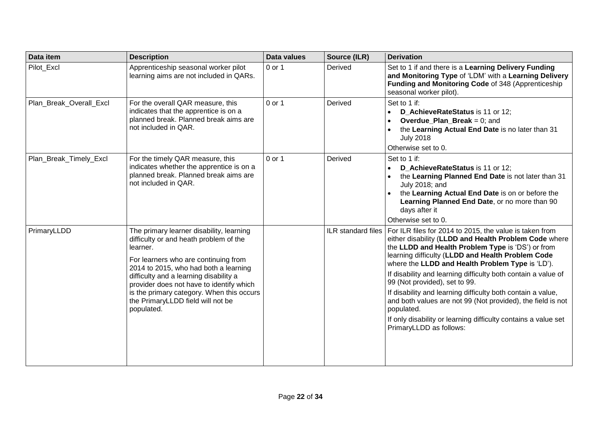| Data item               | <b>Description</b>                                                                                                                                                                                                                                                                                                                                                    | Data values | Source (ILR) | <b>Derivation</b>                                                                                                                                                                                                                                                                                                                                                                                                                                                                                                                                                                                                                              |
|-------------------------|-----------------------------------------------------------------------------------------------------------------------------------------------------------------------------------------------------------------------------------------------------------------------------------------------------------------------------------------------------------------------|-------------|--------------|------------------------------------------------------------------------------------------------------------------------------------------------------------------------------------------------------------------------------------------------------------------------------------------------------------------------------------------------------------------------------------------------------------------------------------------------------------------------------------------------------------------------------------------------------------------------------------------------------------------------------------------------|
| Pilot Excl              | Apprenticeship seasonal worker pilot<br>learning aims are not included in QARs.                                                                                                                                                                                                                                                                                       | 0 or 1      | Derived      | Set to 1 if and there is a Learning Delivery Funding<br>and Monitoring Type of 'LDM' with a Learning Delivery<br>Funding and Monitoring Code of 348 (Apprenticeship<br>seasonal worker pilot).                                                                                                                                                                                                                                                                                                                                                                                                                                                 |
| Plan Break Overall Excl | For the overall QAR measure, this<br>indicates that the apprentice is on a<br>planned break. Planned break aims are<br>not included in QAR.                                                                                                                                                                                                                           | 0 or 1      | Derived      | Set to 1 if:<br>D_AchieveRateStatus is 11 or 12;<br>$\bullet$<br><b>Overdue_Plan_Break</b> = $0$ ; and<br>$\bullet$<br>the Learning Actual End Date is no later than 31<br>$\bullet$<br><b>July 2018</b><br>Otherwise set to 0.                                                                                                                                                                                                                                                                                                                                                                                                                |
| Plan_Break_Timely_Excl  | For the timely QAR measure, this<br>indicates whether the apprentice is on a<br>planned break. Planned break aims are<br>not included in QAR.                                                                                                                                                                                                                         | 0 or 1      | Derived      | Set to 1 if:<br>D_AchieveRateStatus is 11 or 12;<br>$\bullet$<br>the Learning Planned End Date is not later than 31<br>$\bullet$<br>July 2018; and<br>the Learning Actual End Date is on or before the<br>Learning Planned End Date, or no more than 90<br>days after it<br>Otherwise set to 0.                                                                                                                                                                                                                                                                                                                                                |
| PrimaryLLDD             | The primary learner disability, learning<br>difficulty or and heath problem of the<br>learner.<br>For learners who are continuing from<br>2014 to 2015, who had both a learning<br>difficulty and a learning disability a<br>provider does not have to identify which<br>is the primary category. When this occurs<br>the PrimaryLLDD field will not be<br>populated. |             |              | ILR standard files   For ILR files for 2014 to 2015, the value is taken from<br>either disability (LLDD and Health Problem Code where<br>the LLDD and Health Problem Type is 'DS') or from<br>learning difficulty (LLDD and Health Problem Code<br>where the LLDD and Health Problem Type is 'LD').<br>If disability and learning difficulty both contain a value of<br>99 (Not provided), set to 99.<br>If disability and learning difficulty both contain a value,<br>and both values are not 99 (Not provided), the field is not<br>populated.<br>If only disability or learning difficulty contains a value set<br>PrimaryLLDD as follows: |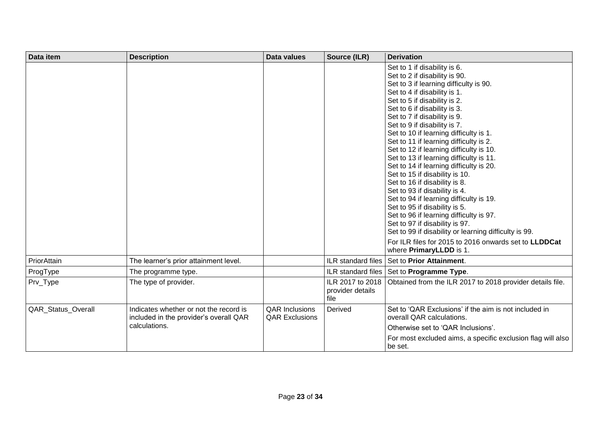| Data item          | <b>Description</b>                                                               | Data values                                    | Source (ILR)                                 | <b>Derivation</b>                                                                                                                                                                                                                                                                                                                                                                                                                                                                                                                                                                                                                                                                                                                                                                                                                                                                                      |
|--------------------|----------------------------------------------------------------------------------|------------------------------------------------|----------------------------------------------|--------------------------------------------------------------------------------------------------------------------------------------------------------------------------------------------------------------------------------------------------------------------------------------------------------------------------------------------------------------------------------------------------------------------------------------------------------------------------------------------------------------------------------------------------------------------------------------------------------------------------------------------------------------------------------------------------------------------------------------------------------------------------------------------------------------------------------------------------------------------------------------------------------|
|                    |                                                                                  |                                                |                                              | Set to 1 if disability is 6.<br>Set to 2 if disability is 90.<br>Set to 3 if learning difficulty is 90.<br>Set to 4 if disability is 1.<br>Set to 5 if disability is 2.<br>Set to 6 if disability is 3.<br>Set to 7 if disability is 9.<br>Set to 9 if disability is 7.<br>Set to 10 if learning difficulty is 1.<br>Set to 11 if learning difficulty is 2.<br>Set to 12 if learning difficulty is 10.<br>Set to 13 if learning difficulty is 11.<br>Set to 14 if learning difficulty is 20.<br>Set to 15 if disability is 10.<br>Set to 16 if disability is 8.<br>Set to 93 if disability is 4.<br>Set to 94 if learning difficulty is 19.<br>Set to 95 if disability is 5.<br>Set to 96 if learning difficulty is 97.<br>Set to 97 if disability is 97.<br>Set to 99 if disability or learning difficulty is 99.<br>For ILR files for 2015 to 2016 onwards set to LLDDCat<br>where PrimaryLLDD is 1. |
| PriorAttain        | The learner's prior attainment level.                                            |                                                | <b>ILR</b> standard files                    | Set to Prior Attainment.                                                                                                                                                                                                                                                                                                                                                                                                                                                                                                                                                                                                                                                                                                                                                                                                                                                                               |
| ProgType           | The programme type.                                                              |                                                |                                              | ILR standard files   Set to Programme Type.                                                                                                                                                                                                                                                                                                                                                                                                                                                                                                                                                                                                                                                                                                                                                                                                                                                            |
| Prv_Type           | The type of provider.                                                            |                                                | ILR 2017 to 2018<br>provider details<br>file | Obtained from the ILR 2017 to 2018 provider details file.                                                                                                                                                                                                                                                                                                                                                                                                                                                                                                                                                                                                                                                                                                                                                                                                                                              |
| QAR_Status_Overall | Indicates whether or not the record is<br>included in the provider's overall QAR | <b>QAR Inclusions</b><br><b>QAR Exclusions</b> | Derived                                      | Set to 'QAR Exclusions' if the aim is not included in<br>overall QAR calculations.                                                                                                                                                                                                                                                                                                                                                                                                                                                                                                                                                                                                                                                                                                                                                                                                                     |
|                    | calculations.                                                                    |                                                |                                              | Otherwise set to 'QAR Inclusions'.                                                                                                                                                                                                                                                                                                                                                                                                                                                                                                                                                                                                                                                                                                                                                                                                                                                                     |
|                    |                                                                                  |                                                |                                              | For most excluded aims, a specific exclusion flag will also<br>be set.                                                                                                                                                                                                                                                                                                                                                                                                                                                                                                                                                                                                                                                                                                                                                                                                                                 |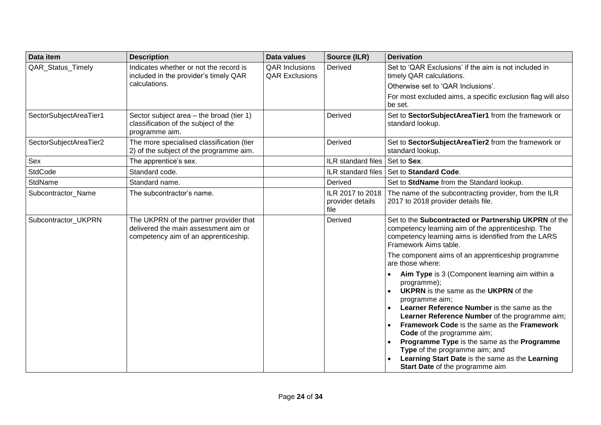| Data item              | <b>Description</b>                                                                                                     | <b>Data values</b>                             | Source (ILR)                                 | <b>Derivation</b>                                                                                                                                                                                                                                                                                                                                                                                                                                                                                                                         |
|------------------------|------------------------------------------------------------------------------------------------------------------------|------------------------------------------------|----------------------------------------------|-------------------------------------------------------------------------------------------------------------------------------------------------------------------------------------------------------------------------------------------------------------------------------------------------------------------------------------------------------------------------------------------------------------------------------------------------------------------------------------------------------------------------------------------|
| QAR_Status_Timely      | Indicates whether or not the record is<br>included in the provider's timely QAR<br>calculations.                       | <b>QAR Inclusions</b><br><b>QAR Exclusions</b> | Derived                                      | Set to 'QAR Exclusions' if the aim is not included in<br>timely QAR calculations.                                                                                                                                                                                                                                                                                                                                                                                                                                                         |
|                        |                                                                                                                        |                                                |                                              | Otherwise set to 'QAR Inclusions'.                                                                                                                                                                                                                                                                                                                                                                                                                                                                                                        |
|                        |                                                                                                                        |                                                |                                              | For most excluded aims, a specific exclusion flag will also<br>be set.                                                                                                                                                                                                                                                                                                                                                                                                                                                                    |
| SectorSubjectAreaTier1 | Sector subject area - the broad (tier 1)<br>classification of the subject of the<br>programme aim.                     |                                                | Derived                                      | Set to SectorSubjectAreaTier1 from the framework or<br>standard lookup.                                                                                                                                                                                                                                                                                                                                                                                                                                                                   |
| SectorSubjectAreaTier2 | The more specialised classification (tier<br>2) of the subject of the programme aim.                                   |                                                | Derived                                      | Set to SectorSubjectAreaTier2 from the framework or<br>standard lookup.                                                                                                                                                                                                                                                                                                                                                                                                                                                                   |
| Sex                    | The apprentice's sex.                                                                                                  |                                                | ILR standard files                           | Set to Sex.                                                                                                                                                                                                                                                                                                                                                                                                                                                                                                                               |
| StdCode                | Standard code.                                                                                                         |                                                | ILR standard files                           | Set to Standard Code.                                                                                                                                                                                                                                                                                                                                                                                                                                                                                                                     |
| StdName                | Standard name.                                                                                                         |                                                | Derived                                      | Set to StdName from the Standard lookup.                                                                                                                                                                                                                                                                                                                                                                                                                                                                                                  |
| Subcontractor_Name     | The subcontractor's name.                                                                                              |                                                | ILR 2017 to 2018<br>provider details<br>file | The name of the subcontracting provider, from the ILR<br>2017 to 2018 provider details file.                                                                                                                                                                                                                                                                                                                                                                                                                                              |
| Subcontractor_UKPRN    | The UKPRN of the partner provider that<br>delivered the main assessment aim or<br>competency aim of an apprenticeship. |                                                | Derived                                      | Set to the Subcontracted or Partnership UKPRN of the<br>competency learning aim of the apprenticeship. The<br>competency learning aims is identified from the LARS<br>Framework Aims table.                                                                                                                                                                                                                                                                                                                                               |
|                        |                                                                                                                        |                                                |                                              | The component aims of an apprenticeship programme<br>are those where:                                                                                                                                                                                                                                                                                                                                                                                                                                                                     |
|                        |                                                                                                                        |                                                |                                              | Aim Type is 3 (Component learning aim within a<br>$\bullet$<br>programme);<br><b>UKPRN</b> is the same as the <b>UKPRN</b> of the<br>$\bullet$<br>programme aim;<br>Learner Reference Number is the same as the<br>Learner Reference Number of the programme aim;<br><b>Framework Code is the same as the Framework</b><br>$\bullet$<br>Code of the programme aim;<br>Programme Type is the same as the Programme<br>Type of the programme aim; and<br>Learning Start Date is the same as the Learning<br>Start Date of the programme aim |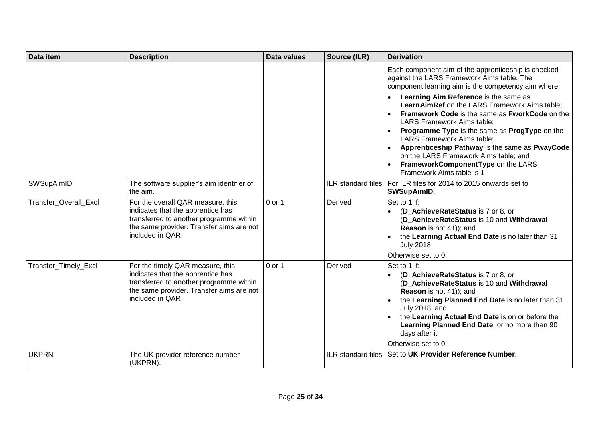| Data item             | <b>Description</b>                                                                                                                                                                | <b>Data values</b> | Source (ILR)       | <b>Derivation</b>                                                                                                                                                                                                                                                                                                                                                                                                          |
|-----------------------|-----------------------------------------------------------------------------------------------------------------------------------------------------------------------------------|--------------------|--------------------|----------------------------------------------------------------------------------------------------------------------------------------------------------------------------------------------------------------------------------------------------------------------------------------------------------------------------------------------------------------------------------------------------------------------------|
|                       |                                                                                                                                                                                   |                    |                    | Each component aim of the apprenticeship is checked<br>against the LARS Framework Aims table. The<br>component learning aim is the competency aim where:                                                                                                                                                                                                                                                                   |
|                       |                                                                                                                                                                                   |                    |                    | Learning Aim Reference is the same as<br><b>LearnAimRef</b> on the LARS Framework Aims table;<br>Framework Code is the same as FworkCode on the<br>LARS Framework Aims table;<br>Programme Type is the same as ProgType on the<br>LARS Framework Aims table;<br>Apprenticeship Pathway is the same as PwayCode<br>on the LARS Framework Aims table; and<br>FrameworkComponentType on the LARS<br>Framework Aims table is 1 |
| SWSupAimID            | The software supplier's aim identifier of<br>the aim.                                                                                                                             |                    |                    | ILR standard files   For ILR files for 2014 to 2015 onwards set to<br><b>SWSupAimID.</b>                                                                                                                                                                                                                                                                                                                                   |
| Transfer_Overall_Excl | For the overall QAR measure, this<br>indicates that the apprentice has<br>transferred to another programme within<br>the same provider. Transfer aims are not<br>included in QAR. | 0 or 1             | Derived            | Set to 1 if:<br>(D AchieveRateStatus is 7 or 8, or<br>(D AchieveRateStatus is 10 and Withdrawal<br>Reason is not 41)); and<br>the Learning Actual End Date is no later than 31<br><b>July 2018</b><br>Otherwise set to 0.                                                                                                                                                                                                  |
| Transfer_Timely_Excl  | For the timely QAR measure, this<br>indicates that the apprentice has<br>transferred to another programme within<br>the same provider. Transfer aims are not<br>included in QAR.  | $0$ or 1           | Derived            | Set to 1 if:<br>(D AchieveRateStatus is 7 or 8, or<br>(D_AchieveRateStatus is 10 and Withdrawal<br>Reason is not 41)); and<br>the Learning Planned End Date is no later than 31<br>July 2018; and<br>the Learning Actual End Date is on or before the<br>Learning Planned End Date, or no more than 90<br>days after it<br>Otherwise set to 0.                                                                             |
| <b>UKPRN</b>          | The UK provider reference number<br>(UKPRN).                                                                                                                                      |                    | ILR standard files | Set to UK Provider Reference Number.                                                                                                                                                                                                                                                                                                                                                                                       |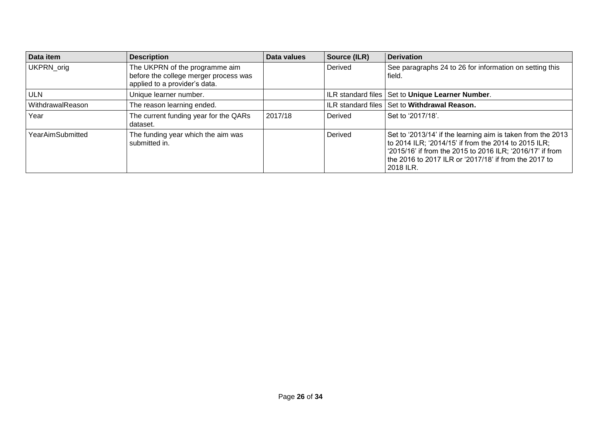| Data item        | <b>Description</b>                                                                                       | Data values | Source (ILR) | Derivation                                                                                                                                                                                                                                                 |
|------------------|----------------------------------------------------------------------------------------------------------|-------------|--------------|------------------------------------------------------------------------------------------------------------------------------------------------------------------------------------------------------------------------------------------------------------|
| UKPRN_orig       | The UKPRN of the programme aim<br>before the college merger process was<br>applied to a provider's data. |             | Derived      | See paragraphs 24 to 26 for information on setting this<br>field.                                                                                                                                                                                          |
| <b>ULN</b>       | Unique learner number.                                                                                   |             |              | ILR standard files   Set to Unique Learner Number.                                                                                                                                                                                                         |
| WithdrawalReason | The reason learning ended.                                                                               |             |              | ILR standard files Set to Withdrawal Reason.                                                                                                                                                                                                               |
| Year             | The current funding year for the QARs<br>dataset.                                                        | 2017/18     | Derived      | Set to '2017/18'.                                                                                                                                                                                                                                          |
| YearAimSubmitted | The funding year which the aim was<br>submitted in.                                                      |             | Derived      | Set to '2013/14' if the learning aim is taken from the 2013<br>to 2014 ILR; '2014/15' if from the 2014 to 2015 ILR;<br>'2015/16' if from the 2015 to 2016 ILR; '2016/17' if from<br>l the 2016 to 2017 ILR or '2017/18' if from the 2017 to l<br>2018 ILR. |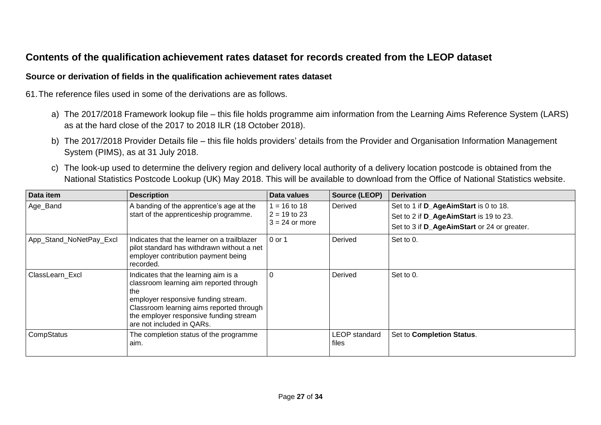# **Contents of the qualification achievement rates dataset for records created from the LEOP dataset**

#### **Source or derivation of fields in the qualification achievement rates dataset**

61.The reference files used in some of the derivations are as follows.

- a) The 2017/2018 Framework lookup file this file holds programme aim information from the Learning Aims Reference System (LARS) as at the hard close of the 2017 to 2018 ILR (18 October 2018).
- b) The 2017/2018 Provider Details file this file holds providers' details from the Provider and Organisation Information Management System (PIMS), as at 31 July 2018.
- c) The look-up used to determine the delivery region and delivery local authority of a delivery location postcode is obtained from the National Statistics Postcode Lookup (UK) May 2018. This will be available to download from the Office of National Statistics website.

<span id="page-26-1"></span><span id="page-26-0"></span>

| Data item               | <b>Description</b>                                                                                                                                                                                                                               | Data values                    | Source (LEOP)                 | <b>Derivation</b>                                                               |
|-------------------------|--------------------------------------------------------------------------------------------------------------------------------------------------------------------------------------------------------------------------------------------------|--------------------------------|-------------------------------|---------------------------------------------------------------------------------|
| Age_Band                | A banding of the apprentice's age at the<br>start of the apprenticeship programme.                                                                                                                                                               | $= 16$ to 18<br>$2 = 19$ to 23 | Derived                       | Set to 1 if D_AgeAimStart is 0 to 18.<br>Set to 2 if D_AgeAimStart is 19 to 23. |
|                         |                                                                                                                                                                                                                                                  | $3 = 24$ or more               |                               | Set to 3 if D_AgeAimStart or 24 or greater.                                     |
| App_Stand_NoNetPay_Excl | Indicates that the learner on a trailblazer<br>pilot standard has withdrawn without a net<br>employer contribution payment being<br>recorded.                                                                                                    | 0 or 1                         | Derived                       | Set to 0.                                                                       |
| ClassLearn Excl         | Indicates that the learning aim is a<br>classroom learning aim reported through<br>the<br>employer responsive funding stream.<br>Classroom learning aims reported through<br>the employer responsive funding stream<br>are not included in QARs. | $\Omega$                       | Derived                       | Set to 0.                                                                       |
| CompStatus              | The completion status of the programme<br>aim.                                                                                                                                                                                                   |                                | <b>LEOP</b> standard<br>files | Set to Completion Status.                                                       |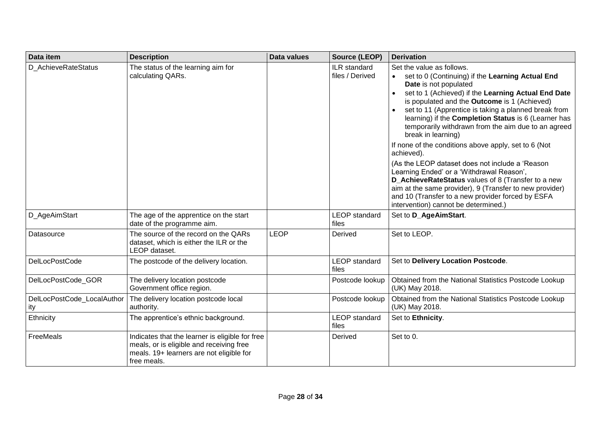| Data item                         | <b>Description</b>                                                                                                                                     | <b>Data values</b> | Source (LEOP)                   | <b>Derivation</b>                                                                                                                                                                                                                                                                                                                                                                                                                                                                                                                                                                                                                                                                                                                                                                              |
|-----------------------------------|--------------------------------------------------------------------------------------------------------------------------------------------------------|--------------------|---------------------------------|------------------------------------------------------------------------------------------------------------------------------------------------------------------------------------------------------------------------------------------------------------------------------------------------------------------------------------------------------------------------------------------------------------------------------------------------------------------------------------------------------------------------------------------------------------------------------------------------------------------------------------------------------------------------------------------------------------------------------------------------------------------------------------------------|
| D AchieveRateStatus               | The status of the learning aim for<br>calculating QARs.                                                                                                |                    | ILR standard<br>files / Derived | Set the value as follows.<br>set to 0 (Continuing) if the Learning Actual End<br>Date is not populated<br>set to 1 (Achieved) if the Learning Actual End Date<br>is populated and the Outcome is 1 (Achieved)<br>set to 11 (Apprentice is taking a planned break from<br>learning) if the Completion Status is 6 (Learner has<br>temporarily withdrawn from the aim due to an agreed<br>break in learning)<br>If none of the conditions above apply, set to 6 (Not<br>achieved).<br>(As the LEOP dataset does not include a 'Reason<br>Learning Ended' or a 'Withdrawal Reason',<br>D AchieveRateStatus values of 8 (Transfer to a new<br>aim at the same provider), 9 (Transfer to new provider)<br>and 10 (Transfer to a new provider forced by ESFA<br>intervention) cannot be determined.) |
| D_AgeAimStart                     | The age of the apprentice on the start<br>date of the programme aim.                                                                                   |                    | <b>LEOP</b> standard<br>files   | Set to D_AgeAimStart.                                                                                                                                                                                                                                                                                                                                                                                                                                                                                                                                                                                                                                                                                                                                                                          |
| Datasource                        | The source of the record on the QARs<br>dataset, which is either the ILR or the<br>LEOP dataset.                                                       | <b>LEOP</b>        | Derived                         | Set to LEOP.                                                                                                                                                                                                                                                                                                                                                                                                                                                                                                                                                                                                                                                                                                                                                                                   |
| DelLocPostCode                    | The postcode of the delivery location.                                                                                                                 |                    | <b>LEOP</b> standard<br>files   | Set to Delivery Location Postcode.                                                                                                                                                                                                                                                                                                                                                                                                                                                                                                                                                                                                                                                                                                                                                             |
| DelLocPostCode GOR                | The delivery location postcode<br>Government office region.                                                                                            |                    | Postcode lookup                 | Obtained from the National Statistics Postcode Lookup<br>(UK) May 2018.                                                                                                                                                                                                                                                                                                                                                                                                                                                                                                                                                                                                                                                                                                                        |
| DelLocPostCode_LocalAuthor<br>ity | The delivery location postcode local<br>authority.                                                                                                     |                    | Postcode lookup                 | Obtained from the National Statistics Postcode Lookup<br>(UK) May 2018.                                                                                                                                                                                                                                                                                                                                                                                                                                                                                                                                                                                                                                                                                                                        |
| Ethnicity                         | The apprentice's ethnic background.                                                                                                                    |                    | <b>LEOP</b> standard<br>files   | Set to Ethnicity.                                                                                                                                                                                                                                                                                                                                                                                                                                                                                                                                                                                                                                                                                                                                                                              |
| FreeMeals                         | Indicates that the learner is eligible for free<br>meals, or is eligible and receiving free<br>meals. 19+ learners are not eligible for<br>free meals. |                    | Derived                         | Set to 0.                                                                                                                                                                                                                                                                                                                                                                                                                                                                                                                                                                                                                                                                                                                                                                                      |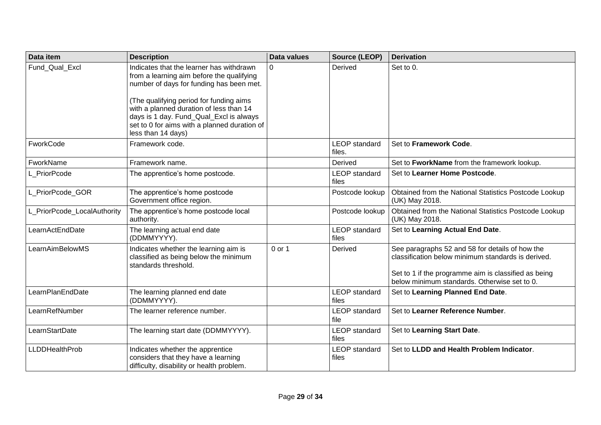| Data item                   | <b>Description</b>                                                                                                                                                                                                                                                                                                                       | <b>Data values</b> | <b>Source (LEOP)</b>           | <b>Derivation</b>                                                                                                                                                                                             |
|-----------------------------|------------------------------------------------------------------------------------------------------------------------------------------------------------------------------------------------------------------------------------------------------------------------------------------------------------------------------------------|--------------------|--------------------------------|---------------------------------------------------------------------------------------------------------------------------------------------------------------------------------------------------------------|
| Fund Qual Excl              | Indicates that the learner has withdrawn<br>from a learning aim before the qualifying<br>number of days for funding has been met.<br>(The qualifying period for funding aims<br>with a planned duration of less than 14<br>days is 1 day. Fund_Qual_Excl is always<br>set to 0 for aims with a planned duration of<br>less than 14 days) | $\Omega$           | Derived                        | Set to 0.                                                                                                                                                                                                     |
| FworkCode                   | Framework code.                                                                                                                                                                                                                                                                                                                          |                    | <b>LEOP</b> standard<br>files. | Set to Framework Code.                                                                                                                                                                                        |
| FworkName                   | Framework name.                                                                                                                                                                                                                                                                                                                          |                    | Derived                        | Set to FworkName from the framework lookup.                                                                                                                                                                   |
| L PriorPcode                | The apprentice's home postcode.                                                                                                                                                                                                                                                                                                          |                    | <b>LEOP</b> standard<br>files  | Set to Learner Home Postcode.                                                                                                                                                                                 |
| L PriorPcode GOR            | The apprentice's home postcode<br>Government office region.                                                                                                                                                                                                                                                                              |                    | Postcode lookup                | Obtained from the National Statistics Postcode Lookup<br>(UK) May 2018.                                                                                                                                       |
| L_PriorPcode_LocalAuthority | The apprentice's home postcode local<br>authority.                                                                                                                                                                                                                                                                                       |                    | Postcode lookup                | Obtained from the National Statistics Postcode Lookup<br>(UK) May 2018.                                                                                                                                       |
| LearnActEndDate             | The learning actual end date<br>(DDMMYYYY).                                                                                                                                                                                                                                                                                              |                    | <b>LEOP</b> standard<br>files  | Set to Learning Actual End Date.                                                                                                                                                                              |
| LearnAimBelowMS             | Indicates whether the learning aim is<br>classified as being below the minimum<br>standards threshold.                                                                                                                                                                                                                                   | 0 or 1             | Derived                        | See paragraphs 52 and 58 for details of how the<br>classification below minimum standards is derived.<br>Set to 1 if the programme aim is classified as being<br>below minimum standards. Otherwise set to 0. |
| LearnPlanEndDate            | The learning planned end date<br>(DDMMYYYY).                                                                                                                                                                                                                                                                                             |                    | <b>LEOP</b> standard<br>files  | Set to Learning Planned End Date.                                                                                                                                                                             |
| LearnRefNumber              | The learner reference number.                                                                                                                                                                                                                                                                                                            |                    | <b>LEOP</b> standard<br>file   | Set to Learner Reference Number.                                                                                                                                                                              |
| LearnStartDate              | The learning start date (DDMMYYYY).                                                                                                                                                                                                                                                                                                      |                    | <b>LEOP</b> standard<br>files  | Set to Learning Start Date.                                                                                                                                                                                   |
| <b>LLDDHealthProb</b>       | Indicates whether the apprentice<br>considers that they have a learning<br>difficulty, disability or health problem.                                                                                                                                                                                                                     |                    | <b>LEOP</b> standard<br>files  | Set to LLDD and Health Problem Indicator.                                                                                                                                                                     |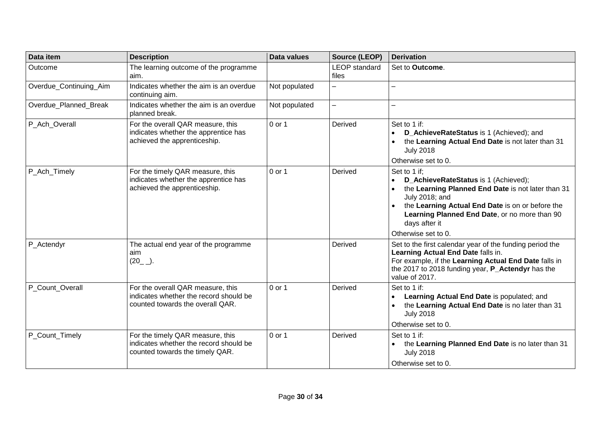| Data item              | <b>Description</b>                                                                                              | <b>Data values</b> | Source (LEOP)                 | <b>Derivation</b>                                                                                                                                                                                                                                                                                   |
|------------------------|-----------------------------------------------------------------------------------------------------------------|--------------------|-------------------------------|-----------------------------------------------------------------------------------------------------------------------------------------------------------------------------------------------------------------------------------------------------------------------------------------------------|
| Outcome                | The learning outcome of the programme<br>aim.                                                                   |                    | <b>LEOP</b> standard<br>files | Set to Outcome.                                                                                                                                                                                                                                                                                     |
| Overdue_Continuing_Aim | Indicates whether the aim is an overdue<br>continuing aim.                                                      | Not populated      | $\overline{\phantom{0}}$      | L.                                                                                                                                                                                                                                                                                                  |
| Overdue_Planned_Break  | Indicates whether the aim is an overdue<br>planned break.                                                       | Not populated      | $\overline{\phantom{0}}$      |                                                                                                                                                                                                                                                                                                     |
| P_Ach_Overall          | For the overall QAR measure, this<br>indicates whether the apprentice has<br>achieved the apprenticeship.       | 0 or 1             | Derived                       | Set to 1 if:<br>D_AchieveRateStatus is 1 (Achieved); and<br>the Learning Actual End Date is not later than 31<br><b>July 2018</b><br>Otherwise set to 0.                                                                                                                                            |
| P_Ach_Timely           | For the timely QAR measure, this<br>indicates whether the apprentice has<br>achieved the apprenticeship.        | 0 or 1             | Derived                       | Set to 1 if;<br>D_AchieveRateStatus is 1 (Achieved);<br>the Learning Planned End Date is not later than 31<br>$\bullet$<br>July 2018; and<br>the Learning Actual End Date is on or before the<br>$\bullet$<br>Learning Planned End Date, or no more than 90<br>days after it<br>Otherwise set to 0. |
| P_Actendyr             | The actual end year of the programme<br>aim<br>$(20_{-})$ .                                                     |                    | Derived                       | Set to the first calendar year of the funding period the<br>Learning Actual End Date falls in.<br>For example, if the Learning Actual End Date falls in<br>the 2017 to 2018 funding year, P_Actendyr has the<br>value of 2017.                                                                      |
| P Count Overall        | For the overall QAR measure, this<br>indicates whether the record should be<br>counted towards the overall QAR. | 0 or 1             | Derived                       | Set to 1 if:<br>Learning Actual End Date is populated; and<br>the Learning Actual End Date is no later than 31<br><b>July 2018</b><br>Otherwise set to 0.                                                                                                                                           |
| P Count Timely         | For the timely QAR measure, this<br>indicates whether the record should be<br>counted towards the timely QAR.   | 0 or 1             | Derived                       | Set to 1 if:<br>the Learning Planned End Date is no later than 31<br>$\bullet$<br><b>July 2018</b><br>Otherwise set to 0.                                                                                                                                                                           |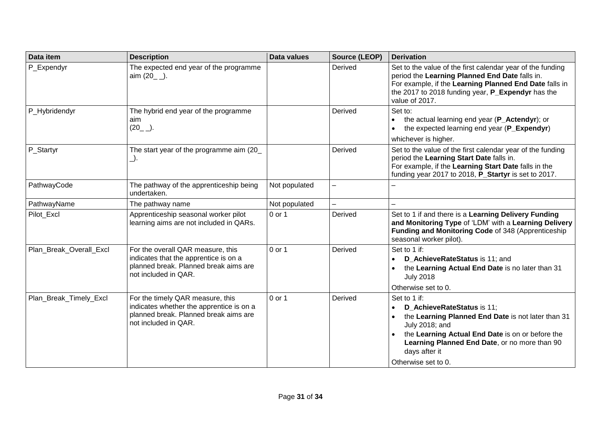| Data item               | <b>Description</b>                                                                                                                            | Data values   | Source (LEOP) | <b>Derivation</b>                                                                                                                                                                                                                                               |
|-------------------------|-----------------------------------------------------------------------------------------------------------------------------------------------|---------------|---------------|-----------------------------------------------------------------------------------------------------------------------------------------------------------------------------------------------------------------------------------------------------------------|
| P_Expendyr              | The expected end year of the programme<br>aim $(20 \_$ .                                                                                      |               | Derived       | Set to the value of the first calendar year of the funding<br>period the Learning Planned End Date falls in.<br>For example, if the Learning Planned End Date falls in<br>the 2017 to 2018 funding year, P_Expendyr has the<br>value of 2017.                   |
| P_Hybridendyr           | The hybrid end year of the programme<br>aim<br>$(20_{-})$ .                                                                                   |               | Derived       | Set to:<br>the actual learning end year (P_Actendyr); or<br>the expected learning end year (P_Expendyr)<br>whichever is higher.                                                                                                                                 |
| P_Startyr               | The start year of the programme aim (20<br>_).                                                                                                |               | Derived       | Set to the value of the first calendar year of the funding<br>period the Learning Start Date falls in.<br>For example, if the Learning Start Date falls in the<br>funding year 2017 to 2018, P_Startyr is set to 2017.                                          |
| PathwayCode             | The pathway of the apprenticeship being<br>undertaken.                                                                                        | Not populated |               |                                                                                                                                                                                                                                                                 |
| PathwayName             | The pathway name                                                                                                                              | Not populated |               |                                                                                                                                                                                                                                                                 |
| Pilot_Excl              | Apprenticeship seasonal worker pilot<br>learning aims are not included in QARs.                                                               | 0 or 1        | Derived       | Set to 1 if and there is a Learning Delivery Funding<br>and Monitoring Type of 'LDM' with a Learning Delivery<br>Funding and Monitoring Code of 348 (Apprenticeship<br>seasonal worker pilot).                                                                  |
| Plan_Break_Overall_Excl | For the overall QAR measure, this<br>indicates that the apprentice is on a<br>planned break. Planned break aims are<br>not included in QAR.   | 0 or 1        | Derived       | Set to 1 if:<br>D_AchieveRateStatus is 11; and<br>the Learning Actual End Date is no later than 31<br><b>July 2018</b><br>Otherwise set to 0.                                                                                                                   |
| Plan_Break_Timely_Excl  | For the timely QAR measure, this<br>indicates whether the apprentice is on a<br>planned break. Planned break aims are<br>not included in QAR. | 0 or 1        | Derived       | Set to 1 if:<br>D_AchieveRateStatus is 11;<br>the Learning Planned End Date is not later than 31<br>July 2018; and<br>the Learning Actual End Date is on or before the<br>Learning Planned End Date, or no more than 90<br>days after it<br>Otherwise set to 0. |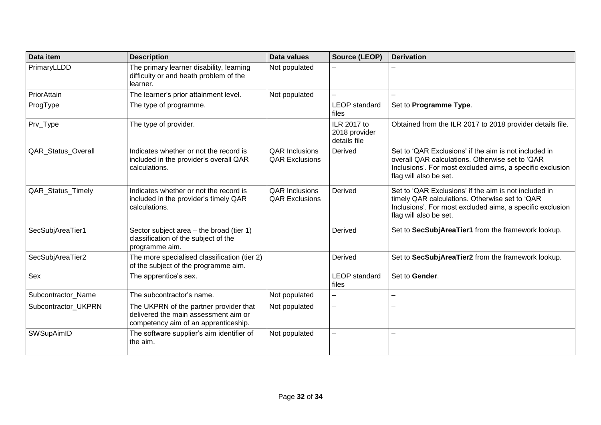| Data item                 | <b>Description</b>                                                                                                     | <b>Data values</b>                             | Source (LEOP)                                | <b>Derivation</b>                                                                                                                                                                               |
|---------------------------|------------------------------------------------------------------------------------------------------------------------|------------------------------------------------|----------------------------------------------|-------------------------------------------------------------------------------------------------------------------------------------------------------------------------------------------------|
| PrimaryLLDD               | The primary learner disability, learning<br>difficulty or and heath problem of the<br>learner.                         | Not populated                                  |                                              |                                                                                                                                                                                                 |
| PriorAttain               | The learner's prior attainment level.                                                                                  | Not populated                                  | $\equiv$                                     |                                                                                                                                                                                                 |
| ProgType                  | The type of programme.                                                                                                 |                                                | <b>LEOP</b> standard<br>files                | Set to Programme Type.                                                                                                                                                                          |
| Prv_Type                  | The type of provider.                                                                                                  |                                                | ILR 2017 to<br>2018 provider<br>details file | Obtained from the ILR 2017 to 2018 provider details file.                                                                                                                                       |
| <b>QAR Status Overall</b> | Indicates whether or not the record is<br>included in the provider's overall QAR<br>calculations.                      | <b>QAR Inclusions</b><br><b>QAR Exclusions</b> | Derived                                      | Set to 'QAR Exclusions' if the aim is not included in<br>overall QAR calculations. Otherwise set to 'QAR<br>Inclusions'. For most excluded aims, a specific exclusion<br>flag will also be set. |
| <b>QAR Status Timely</b>  | Indicates whether or not the record is<br>included in the provider's timely QAR<br>calculations.                       | <b>QAR Inclusions</b><br><b>QAR Exclusions</b> | Derived                                      | Set to 'QAR Exclusions' if the aim is not included in<br>timely QAR calculations. Otherwise set to 'QAR<br>Inclusions'. For most excluded aims, a specific exclusion<br>flag will also be set.  |
| SecSubjAreaTier1          | Sector subject area - the broad (tier 1)<br>classification of the subject of the<br>programme aim.                     |                                                | Derived                                      | Set to SecSubjAreaTier1 from the framework lookup.                                                                                                                                              |
| SecSubjAreaTier2          | The more specialised classification (tier 2)<br>of the subject of the programme aim.                                   |                                                | Derived                                      | Set to SecSubjAreaTier2 from the framework lookup.                                                                                                                                              |
| Sex                       | The apprentice's sex.                                                                                                  |                                                | <b>LEOP</b> standard<br>files                | Set to Gender.                                                                                                                                                                                  |
| Subcontractor_Name        | The subcontractor's name.                                                                                              | Not populated                                  | $\equiv$                                     | $\overline{\phantom{0}}$                                                                                                                                                                        |
| Subcontractor_UKPRN       | The UKPRN of the partner provider that<br>delivered the main assessment aim or<br>competency aim of an apprenticeship. | Not populated                                  | $\overline{\phantom{0}}$                     |                                                                                                                                                                                                 |
| <b>SWSupAimID</b>         | The software supplier's aim identifier of<br>the aim.                                                                  | Not populated                                  | $\overline{\phantom{0}}$                     | <u>.</u>                                                                                                                                                                                        |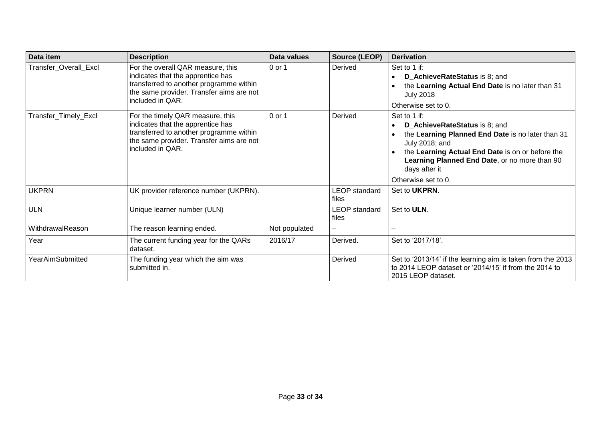| Data item               | <b>Description</b>                                                                                                                                                                | Data values   | Source (LEOP)                 | <b>Derivation</b>                                                                                                                                                                                                                                                 |
|-------------------------|-----------------------------------------------------------------------------------------------------------------------------------------------------------------------------------|---------------|-------------------------------|-------------------------------------------------------------------------------------------------------------------------------------------------------------------------------------------------------------------------------------------------------------------|
| Transfer Overall Excl   | For the overall QAR measure, this<br>indicates that the apprentice has<br>transferred to another programme within<br>the same provider. Transfer aims are not<br>included in QAR. | 0 or 1        | Derived                       | Set to 1 if:<br>D_AchieveRateStatus is 8; and<br>the Learning Actual End Date is no later than 31<br><b>July 2018</b><br>Otherwise set to 0.                                                                                                                      |
| Transfer_Timely_Excl    | For the timely QAR measure, this<br>indicates that the apprentice has<br>transferred to another programme within<br>the same provider. Transfer aims are not<br>included in QAR.  | 0 or 1        | Derived                       | Set to 1 if:<br>D AchieveRateStatus is 8; and<br>the Learning Planned End Date is no later than 31<br>July 2018; and<br>the Learning Actual End Date is on or before the<br>Learning Planned End Date, or no more than 90<br>days after it<br>Otherwise set to 0. |
| <b>UKPRN</b>            | UK provider reference number (UKPRN).                                                                                                                                             |               | LEOP standard<br>files        | Set to <b>UKPRN</b> .                                                                                                                                                                                                                                             |
| <b>ULN</b>              | Unique learner number (ULN)                                                                                                                                                       |               | <b>LEOP</b> standard<br>files | Set to ULN.                                                                                                                                                                                                                                                       |
| WithdrawalReason        | The reason learning ended.                                                                                                                                                        | Not populated |                               |                                                                                                                                                                                                                                                                   |
| Year                    | The current funding year for the QARs<br>dataset.                                                                                                                                 | 2016/17       | Derived.                      | Set to '2017/18'.                                                                                                                                                                                                                                                 |
| <b>YearAimSubmitted</b> | The funding year which the aim was<br>submitted in.                                                                                                                               |               | Derived                       | Set to '2013/14' if the learning aim is taken from the 2013<br>to 2014 LEOP dataset or '2014/15' if from the 2014 to<br>2015 LEOP dataset.                                                                                                                        |